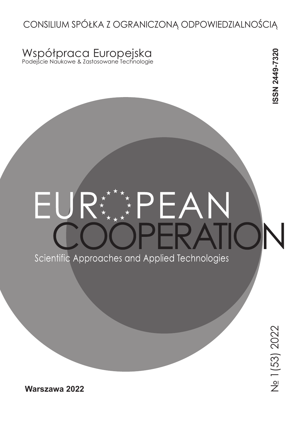# CONSILIUM SPÓŁKA Z OGRANICZONĄ ODPOWIEDZIALNOŚCIĄ

## Współpraca Europejska Podejście Naukowe & Zastosowane Technologie

# ISSN 2449-7320 **ISSN 2449-7320**

# Scientific Approaches and Applied Technologies

**Warszawa 2022**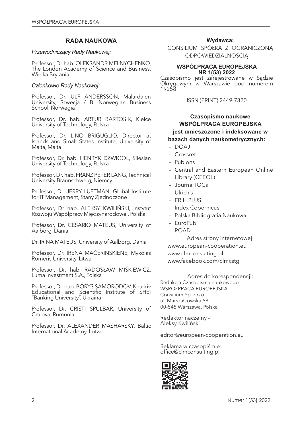#### **RADA NAUKOWA**

#### *Przewodniczący Rady Naukowej:*

Professor, Dr hab. OLEKSANDR MELNYCHENKO, The London Academy of Science and Business, Wielka Brytania

#### *Członkowie Rady Naukowej:*

Professor, Dr. ULF ANDERSSON, Mälardalen University, Szwecja / BI Norwegian Business School, Norwegia

Professor, Dr. hab. ARTUR BARTOSIK, Kielce University of Technology, Polska

Professor, Dr. LINO BRIGUGLIO, Director at Islands and Small States Institute, University of Malta, Malta

Professor, Dr. hab. HENRYK DZWIGOL, Silesian University of Technology, Polska

Professor, Dr. hab. FRANZ PETER LANG, Technical University Braunschweig, Niemcy

Professor, Dr. JERRY LUFTMAN, Global Institute for IT Management, Stany Zjednoczone

Professor, Dr hab. ALEKSY KWILIŃSKI, Instytut Rozwoju Współpracy Międzynarodowej, Polska

Professor, Dr. CESARIO MATEUS, University of Aalborg, Dania

Dr. IRINA MATEUS, University of Aalborg, Dania

Professor, Dr. IRENA MAČERINSKIENĖ, Mykolas Romeris University, Litwa

Professor, Dr. hab. RADOSŁAW MIŚKIEWICZ, Luma Investment S.A., Polska

Professor, Dr. hab. BORYS SAMORODOV, Kharkiv Educational and Scientific Institute of SHEI "Banking University", Ukraina

Professor, Dr. CRISTI SPULBAR, University of Craiova, Rumunia

Professor, Dr. ALEXANDER MASHARSKY, Baltic International Academy, Łotwa

#### **Wydawca:**

CONSILIUM SPÓŁKA Z OGRANICZONĄ ODPOWIEDZIALNOŚCIĄ

#### **WSPÓŁPRACA EUROPEJSKA NR 1(53) 2022**

Czasopismo jest zarejestrowane w Sądzie Okręgowym w Warszawie pod numerem 19258

ISSN (PRINT) 2449-7320

#### **Czasopismo naukowe WSPÓŁPRACA EUROPEJSKA jest umieszczone i indeksowane w bazach danych naukometrycznych:**

- DOAJ
- Crossref
- Publons
- Central and Eastern European Online Library (CEEOL)
- JournalTOCs
- Ulrich's
- ERIH PLUS
- Index Copernicus
- Polska Bibliografia Naukowa
- EuroPub
- ROAD

Adres strony internetowej: www.european-cooperation.eu www.clmconsulting.pl www.facebook.com/clmcstg

Adres do korespondencji: Redakcja Czasopisma naukowego WSPÓŁPRACA EUROPEJSKA Consilium Sp. z o.o. ul. Marszałkowska 58 00-545 Warszawa, Polska

Redaktor naczelny – Aleksy Kwiliński

editor@european-cooperation.eu

Reklama w czasopiśmie: office@clmconsulting.pl

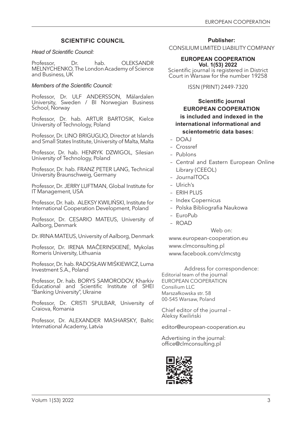#### **SCIENTIFIC COUNCIL**

#### *Head of Scientific Council:*

Professor, Dr. hab. OLEKSANDR MELNYCHENKO, The London Academy of Science and Business, UK

#### *Members of the Scientific Council:*

Professor, Dr. ULF ANDERSSON, Mälardalen University, Sweden / BI Norwegian Business School, Norway

Professor, Dr. hab. ARTUR BARTOSIK, Kielce University of Technology, Poland

Professor, Dr. LINO BRIGUGLIO, Director at Islands and Small States Institute, University of Malta, Malta

Professor, Dr. hab. HENRYK DZWIGOL, Silesian University of Technology, Poland

Professor, Dr. hab. FRANZ PETER LANG, Technical University Braunschweig, Germany

Professor, Dr. JERRY LUFTMAN, Global Institute for IT Management, USA

Professor, Dr. hab. ALEKSY KWILIŃSKI, Institute for International Cooperation Development, Poland

Professor, Dr. CESARIO MATEUS, University of Aalborg, Denmark

Dr. IRINA MATEUS, University of Aalborg, Denmark

Professor, Dr. IRENA MAČERINSKIENĖ, Mykolas Romeris University, Lithuania

Professor, Dr. hab. RADOSŁAW MIŚKIEWICZ, Luma Investment S.A., Poland

Professor, Dr. hab. BORYS SAMORODOV, Kharkiv Educational and Scientific Institute of SHEI "Banking University", Ukraine

Professor, Dr. CRISTI SPULBAR, University of Craiova, Romania

Professor, Dr. ALEXANDER MASHARSKY, Baltic International Academy, Latvia

**Publisher:**

CONSILIUM LIMITED LIABILITY COMPANY

#### **EUROPEAN COOPERATION Vol. 1(53) 2022**

Scientific journal is registered in District Court in Warsaw for the number 19258

ISSN (PRINT) 2449-7320

#### **Scientific journal EUROPEAN COOPERATION is included and indexed in the international informational and scientometric data bases:**

- DOAJ
- Crossref
- Publons
- Central and Eastern European Online Library (CEEOL)
- JournalTOCs
- Ulrich's
- ERIH PLUS
- Index Copernicus
- Polska Bibliografia Naukowa
- EuroPub
- ROAD

Web on:

www.european-cooperation.eu www.clmconsulting.pl www.facebook.com/clmcstg

Address for correspondence: Editorial team of the journal EUROPEAN COOPERATION Consilium LLC Marszałkowska str. 58

00-545 Warsaw, Poland

Chief editor of the journal – Aleksy Kwiliński

editor@european-cooperation.eu

Advertising in the journal: office@clmconsulting.pl

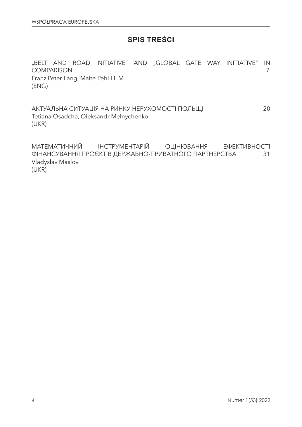## **SPIS TREŚCI**

"BELT AND ROAD INITIATIVE" AND "GLOBAL GATE WAY INITIATIVE" IN COMPARISON 7 Franz Peter Lang, Malte Pehl LL.M. (ENG)

АКТУАЛЬНА СИТУАЦІЯ НА РИНКУ НЕРУХОМОСТІ ПОЛЬЩІ 20 Tetiana Osadcha, Oleksandr Melnychenko (UKR)

МАТЕМАТИЧНИЙ ІНСТРУМЕНТАРІЙ ОЦІНЮВАННЯ ЕФЕКТИВНОСТІ ФІНАНСУВАННЯ ПРОЄКТІВ ДЕРЖАВНО-ПРИВАТНОГО ПАРТНЕРСТВА 31 Vladyslav Maslov (UKR)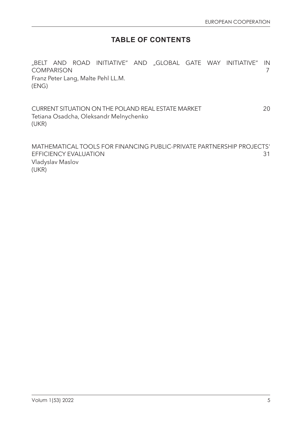# **TABLE OF CONTENTS**

"BELT AND ROAD INITIATIVE" AND "GLOBAL GATE WAY INITIATIVE" IN COMPARISON 7 Franz Peter Lang, Malte Pehl LL.M. (ENG)

CURRENT SITUATION ON THE POLAND REAL ESTATE MARKET 20 Tetiana Osadcha, Oleksandr Melnychenko (UKR)

MATHEMATICAL TOOLS FOR FINANCING PUBLIC-PRIVATE PARTNERSHIP PROJECTS' EFFICIENCY EVALUATION 31 Vladyslav Maslov (UKR)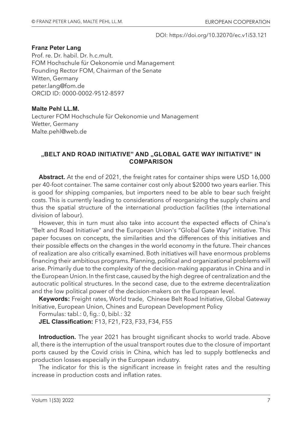#### DOI: https://doi.org/10.32070/ec.v1i53.121

#### **Franz Peter Lang**

Prof. re. Dr. habil. Dr. h.c.mult. FOM Hochschule für Oekonomie und Management Founding Rector FOM, Chairman of the Senate Witten, Germany peter.lang@fom.de ORCID ID: 0000-0002-9512-8597

#### **Malte Pehl LL.M.**

Lecturer FOM Hochschule für Oekonomie und Management Wetter, Germany Malte.pehl@web.de

#### "BELT AND ROAD INITIATIVE" AND "GLOBAL GATE WAY INITIATIVE" IN **COMPARISON**

**Abstract.** At the end of 2021, the freight rates for container ships were USD 16,000 per 40-foot container. The same container cost only about \$2000 two years earlier. This is good for shipping companies, but importers need to be able to bear such freight costs. This is currently leading to considerations of reorganizing the supply chains and thus the spatial structure of the international production facilities (the international division of labour).

However, this in turn must also take into account the expected effects of China's "Belt and Road Initiative" and the European Union's "Global Gate Way" initiative. This paper focuses on concepts, the similarities and the differences of this initiatives and their possible effects on the changes in the world economy in the future. Their chances of realization are also critically examined. Both initiatives will have enormous problems financing their ambitious programs. Planning, political and organizational problems will arise. Primarily due to the complexity of the decision-making apparatus in China and in the European Union. In the first case, caused by the high degree of centralization and the autocratic political structures. In the second case, due to the extreme decentralization and the low political power of the decision-makers on the European level.

**Keywords:** Freight rates, World trade, Chinese Belt Road Initiative, Global Gateway Initiative, European Union, Chines and European Development Policy

Formulas: tabl.: 0, fig.: 0, bibl.: 32

**JEL Classification:** F13, F21, F23, F33, F34, F55

**Introduction.** The year 2021 has brought significant shocks to world trade. Above all, there is the interruption of the usual transport routes due to the closure of important ports caused by the Covid crisis in China, which has led to supply bottlenecks and production losses especially in the European industry.

The indicator for this is the significant increase in freight rates and the resulting increase in production costs and inflation rates.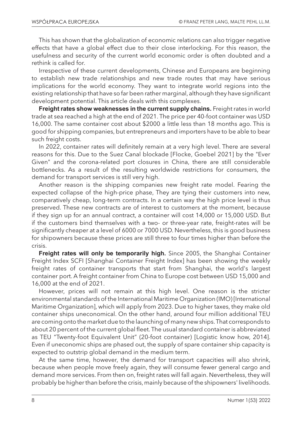This has shown that the globalization of economic relations can also trigger negative effects that have a global effect due to their close interlocking. For this reason, the usefulness and security of the current world economic order is often doubted and a rethink is called for.

Irrespective of these current developments, Chinese and Europeans are beginning to establish new trade relationships and new trade routes that may have serious implications for the world economy. They want to integrate world regions into the existing relationship that have so far been rather marginal, although they have significant development potential. This article deals with this complexes.

**Freight rates show weaknesses in the current supply chains.** Freight rates in world trade at sea reached a high at the end of 2021. The price per 40-foot container was USD 16,000. The same container cost about \$2000 a little less than 18 months ago. This is good for shipping companies, but entrepreneurs and importers have to be able to bear such freight costs.

In 2022, container rates will definitely remain at a very high level. There are several reasons for this. Due to the Suez Canal blockade [Flocke, Goebel 2021] by the "Ever Given" and the corona-related port closures in China, there are still considerable bottlenecks. As a result of the resulting worldwide restrictions for consumers, the demand for transport services is still very high.

Another reason is the shipping companies new freight rate model. Fearing the expected collapse of the high-price phase, They are tying their customers into new, comparatively cheap, long-term contracts. In a certain way the high price level is thus preserved. These new contracts are of interest to customers at the moment, because if they sign up for an annual contract, a container will cost 14,000 or 15,000 USD. But if the customers bind themselves with a two- or three-year rate, freight-rates will be significantly cheaper at a level of 6000 or 7000 USD. Nevertheless, this is good business for shipowners because these prices are still three to four times higher than before the crisis.

**Freight rates will only be temporarily high.** Since 2005, the Shanghai Container Freight Index SCFI [Shanghai Container Freight Index] has been showing the weekly freight rates of container transports that start from Shanghai, the world's largest container port. A freight container from China to Europe cost between USD 15,000 and 16,000 at the end of 2021.

However, prices will not remain at this high level. One reason is the stricter environmental standards of the International Maritime Organization (IMO) [International Maritime Organization], which will apply from 2023. Due to higher taxes, they make old container ships uneconomical. On the other hand, around four million additional TEU are coming onto the market due to the launching of many new ships. That corresponds to about 20 percent of the current global fleet. The usual standard container is abbreviated as TEU "Twenty-foot Equivalent Unit" (20-foot container) [Logistic know how, 2014]. Even if uneconomic ships are phased out, the supply of spare container ship capacity is expected to outstrip global demand in the medium term.

At the same time, however, the demand for transport capacities will also shrink, because when people move freely again, they will consume fewer general cargo and demand more services. From then on, freight rates will fall again. Nevertheless, they will probably be higher than before the crisis, mainly because of the shipowners' livelihoods.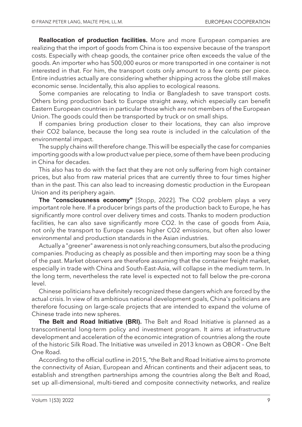**Reallocation of production facilities.** More and more European companies are realizing that the import of goods from China is too expensive because of the transport costs. Especially with cheap goods, the container price often exceeds the value of the goods. An importer who has 500,000 euros or more transported in one container is not interested in that. For him, the transport costs only amount to a few cents per piece. Entire industries actually are considering whether shipping across the globe still makes economic sense. Incidentally, this also applies to ecological reasons.

Some companies are relocating to India or Bangladesh to save transport costs. Others bring production back to Europe straight away, which especially can benefit Eastern European countries in particular those which are not members of the European Union. The goods could then be transported by truck or on small ships.

If companies bring production closer to their locations, they can also improve their CO2 balance, because the long sea route is included in the calculation of the environmental impact.

The supply chains will therefore change. This will be especially the case for companies importing goods with a low product value per piece, some of them have been producing in China for decades.

This also has to do with the fact that they are not only suffering from high container prices, but also from raw material prices that are currently three to four times higher than in the past. This can also lead to increasing domestic production in the European Union and its periphery again.

**The "consciousness economy"** [Stopp, 2022]. The CO2 problem plays a very important role here. If a producer brings parts of the production back to Europe, he has significantly more control over delivery times and costs. Thanks to modern production facilities, he can also save significantly more CO2. In the case of goods from Asia, not only the transport to Europe causes higher CO2 emissions, but often also lower environmental and production standards in the Asian industries.

Actually a "greener" awareness is not only reaching consumers, but also the producing companies. Producing as cheaply as possible and then importing may soon be a thing of the past. Market observers are therefore assuming that the container freight market, especially in trade with China and South-East-Asia, will collapse in the medium term. In the long term, nevertheless the rate level is expected not to fall below the pre-corona level.

Chinese politicians have definitely recognized these dangers which are forced by the actual crisis. In view of its ambitious national development goals, China's politicians are therefore focusing on large-scale projects that are intended to expand the volume of Chinese trade into new spheres.

**The Belt and Road Initiative (BRI).** The Belt and Road Initiative is planned as a transcontinental long-term policy and investment program. It aims at infrastructure development and acceleration of the economic integration of countries along the route of the historic Silk Road. The Initiative was unveiled in 2013 known as OBOR – One Belt One Road.

According to the official outline in 2015, "the Belt and Road Initiative aims to promote the connectivity of Asian, European and African continents and their adjacent seas, to establish and strengthen partnerships among the countries along the Belt and Road, set up all-dimensional, multi-tiered and composite connectivity networks, and realize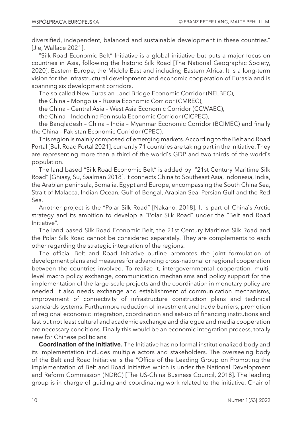diversified, independent, balanced and sustainable development in these countries." [Jie, Wallace 2021].

"Silk Road Economic Belt" Initiative is a global initiative but puts a major focus on countries in Asia, following the historic Silk Road [The National Geographic Society, 2020], Eastern Europe, the Middle East and including Eastern Africa. It is a long-term vision for the infrastructural development and economic cooperation of Eurasia and is spanning six development corridors.

The so called New Eurasian Land Bridge Economic Corridor (NELBEC),

the China – Mongolia – Russia Economic Corridor (CMREC),

the China – Central Asia – West Asia Economic Corridor (CCWAEC),

the China – Indochina Peninsula Economic Corridor (CICPEC),

the Bangladesh – China – India – Myanmar Economic Corridor (BCIMEC) and finally the China – Pakistan Economic Corridor (CPEC).

This region is mainly composed of emerging markets. According to the Belt and Road Portal [Belt Road Portal 2021], currently 71 countries are taking part in the Initiative. They are representing more than a third of the world`s GDP and two thirds of the world`s population.

The land based "Silk Road Economic Belt" is added by "21st Century Maritime Silk Road" [Ghiasy, Su, Saalman 2018]. It connects China to Southeast Asia, Indonesia, India, the Arabian peninsula, Somalia, Egypt and Europe, encompassing the South China Sea, Strait of Malacca, Indian Ocean, Gulf of Bengal, Arabian Sea, Persian Gulf and the Red Sea.

Another project is the "Polar Silk Road" [Nakano, 2018]. It is part of China`s Arctic strategy and its ambition to develop a "Polar Silk Road" under the "Belt and Road Initiative".

The land based Silk Road Economic Belt, the 21st Century Maritime Silk Road and the Polar Silk Road cannot be considered separately. They are complements to each other regarding the strategic integration of the regions.

The official Belt and Road Initiative outline promotes the joint formulation of development plans and measures for advancing cross-national or regional cooperation between the countries involved. To realize it, intergovernmental cooperation, multilevel macro policy exchange, communication mechanisms and policy support for the implementation of the large-scale projects and the coordination in monetary policy are needed. It also needs exchange and establishment of communication mechanisms, improvement of connectivity of infrastructure construction plans and technical standards systems. Furthermore reduction of investment and trade barriers, promotion of regional economic integration, coordination and set-up of financing institutions and last but not least cultural and academic exchange and dialogue and media cooperation are necessary conditions. Finally this would be an economic integration process, totally new for Chinese politicians.

**Coordination of the Initiative.** The Initiative has no formal institutionalized body and its implementation includes multiple actors and stakeholders. The overseeing body of the Belt and Road Initiative is the "Office of the Leading Group on Promoting the Implementation of Belt and Road Initiative which is under the National Development and Reform Commission (NDRC) [The US-China Business Council, 2018]. The leading group is in charge of guiding and coordinating work related to the initiative. Chair of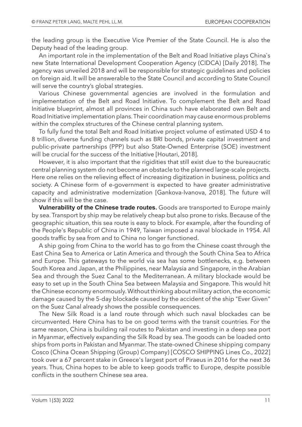the leading group is the Executive Vice Premier of the State Council. He is also the Deputy head of the leading group.

An important role in the implementation of the Belt and Road Initiative plays China`s new State International Development Cooperation Agency (CIDCA) [Daily 2018]. The agency was unveiled 2018 and will be responsible for strategic guidelines and policies on foreign aid. It will be answerable to the State Council and according to State Council will serve the country's global strategies.

Various Chinese governmental agencies are involved in the formulation and implementation of the Belt and Road Initiative. To complement the Belt and Road Initiative blueprint, almost all provinces in China such have elaborated own Belt and Road Initiative implementation plans. Their coordination may cause enormous problems within the complex structures of the Chinese central planning system.

To fully fund the total Belt and Road Initiative project volume of estimated USD 4 to 8 trillion, diverse funding channels such as BRI bonds, private capital investment and public-private partnerships (PPP) but also State-Owned Enterprise (SOE) investment will be crucial for the success of the Initiative [Houtari, 2018].

However, it is also important that the rigidities that still exist due to the bureaucratic central planning system do not become an obstacle to the planned large-scale projects. Here one relies on the relieving effect of increasing digitization in business, politics and society. A Chinese form of e-government is expected to have greater administrative capacity and administrative modernization [Gankova-Ivanova, 2018]. The future will show if this will be the case.

**Vulnerability of the Chinese trade routes.** Goods are transported to Europe mainly by sea. Transport by ship may be relatively cheap but also prone to risks. Because of the geographic situation, this sea route is easy to block. For example, after the founding of the People's Republic of China in 1949, Taiwan imposed a naval blockade in 1954. All goods traffic by sea from and to China no longer functioned.

A ship going from China to the world has to go from the Chinese coast through the East China Sea to America or Latin America and through the South China Sea to Africa and Europe. This gateways to the world via sea has some bottlenecks, e.g. between South Korea and Japan, at the Philippines, near Malaysia and Singapore, in the Arabian Sea and through the Suez Canal to the Mediterranean. A military blockade would be easy to set up in the South China Sea between Malaysia and Singapore. This would hit the Chinese economy enormously. Without thinking about military action, the economic damage caused by the 5-day blockade caused by the accident of the ship "Ever Given" on the Suez Canal already shows the possible consequences.

The New Silk Road is a land route through which such naval blockades can be circumvented. Here China has to be on good terms with the transit countries. For the same reason, China is building rail routes to Pakistan and investing in a deep sea port in Myanmar, effectively expanding the Silk Road by sea. The goods can be loaded onto ships from ports in Pakistan and Myanmar. The state-owned Chinese shipping company Cosco (China Ocean Shipping (Group) Company) [COSCO SHIPPING Lines Co., 2022] took over a 67 percent stake in Greece's largest port of Piraeus in 2016 for the next 36 years. Thus, China hopes to be able to keep goods traffic to Europe, despite possible conflicts in the southern Chinese sea area.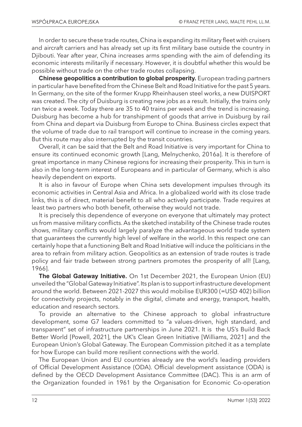In order to secure these trade routes, China is expanding its military fleet with cruisers and aircraft carriers and has already set up its first military base outside the country in Djibouti. Year after year, China increases arms spending with the aim of defending its economic interests militarily if necessary. However, it is doubtful whether this would be possible without trade on the other trade routes collapsing.

**Chinese geopolitics a contribution to global prosperity.** European trading partners in particular have benefited from the Chinese Belt and Road Initiative for the past 5 years. In Germany, on the site of the former Krupp Rheinhausen steel works, a new DUISPORT was created. The city of Duisburg is creating new jobs as a result. Initially, the trains only ran twice a week. Today there are 35 to 40 trains per week and the trend is increasing. Duisburg has become a hub for transhipment of goods that arrive in Duisburg by rail from China and depart via Duisburg from Europe to China. Business circles expect that the volume of trade due to rail transport will continue to increase in the coming years. But this route may also interrupted by the transit countries.

Overall, it can be said that the Belt and Road Initiative is very important for China to ensure its continued economic growth [Lang, Melnychenko, 2016a]. It is therefore of great importance in many Chinese regions for increasing their prosperity. This in turn is also in the long-term interest of Europeans and in particular of Germany, which is also heavily dependent on exports.

It is also in favour of Europe when China sets development impulses through its economic activities in Central Asia and Africa. In a globalized world with its close trade links, this is of direct, material benefit to all who actively participate. Trade requires at least two partners who both benefit, otherwise they would not trade.

It is precisely this dependence of everyone on everyone that ultimately may protect us from massive military conflicts. As the sketched instability of the Chinese trade routes shows, military conflicts would largely paralyze the advantageous world trade system that guarantees the currently high level of welfare in the world. In this respect one can certainly hope that a functioning Belt and Road Initiative will induce the politicians in the area to refrain from military action. Geopolitics as an extension of trade routes is trade policy and fair trade between strong partners promotes the prosperity of all! [Lang, 1966].

**The Global Gateway Initiative.** On 1st December 2021, the European Union (EU) unveiled the "Global Gateway Initiative". Its plan is to support infrastructure development around the world. Between 2021-2027 this would mobilise EUR300 (=USD 402) billion for connectivity projects, notably in the digital, climate and energy, transport, health, education and research sectors.

To provide an alternative to the Chinese approach to global infrastructure development, some G7 leaders committed to "a values-driven, high standard, and transparent" set of infrastructure partnerships in June 2021. It is the US's Build Back Better World [Powell, 2021], the UK's Clean Green Initiative [Williams, 2021] and the European Union's Global Gateway. The European Commission pitched it as a template for how Europe can build more resilient connections with the world.

The European Union and EU countries already are the world's leading providers of Official Development Assistance (ODA). Official development assistance (ODA) is defined by the OECD Development Assistance Committee (DAC). This is an arm of the Organization founded in 1961 by the Organisation for Economic Co-operation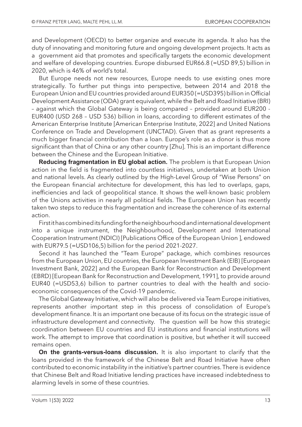and Development (OECD) to better organize and execute its agenda. It also has the duty of innovating and monitoring future and ongoing development projects. It acts as a government aid that promotes and specifically targets the economic development and welfare of developing countries. Europe disbursed EUR66.8 (=USD 89,5) billion in 2020, which is 46% of world's total.

But Europe needs not new resources, Europe needs to use existing ones more strategically. To further put things into perspective, between 2014 and 2018 the European Union and EU countries provided around EUR350 (=USD395) billion in Official Development Assistance (ODA) grant equivalent, while the Belt and Road Initiative (BRI) – against which the Global Gateway is being compared – provided around EUR200 - EUR400 (USD 268 – USD 536) billion in loans, according to different estimates of the American Enterprise Institute [American Enterprise Institute, 2022] and United Nations Conference on Trade and Development (UNCTAD). Given that as grant represents a much bigger financial contribution than a loan. Europe's role as a donor is thus more significant than that of China or any other country [Zhu]. This is an important difference between the Chinese and the European Initiative.

**Reducing fragmentation in EU global action.** The problem is that European Union action in the field is fragmented into countless initiatives, undertaken at both Union and national levels. As clearly outlined by the High-Level Group of "Wise Persons" on the European financial architecture for development, this has led to overlaps, gaps, inefficiencies and lack of geopolitical stance. It shows the well-known basic problem of the Unions activities in nearly all political fields. The European Union has recently taken two steps to reduce this fragmentation and increase the coherence of its external action.

First it has combined its funding for the neighbourhood and international development into a unique instrument, the Neighbourhood, Development and International Cooperation Instrument (NDICI) [Publications Office of the European Union ], endowed with EUR79.5 (=USD106,5) billion for the period 2021-2027.

Second it has launched the "Team Europe" package, which combines resources from the European Union, EU countries, the European Investment Bank (EIB) [European Investment Bank, 2022] and the European Bank for Reconstruction and Development (EBRD) [European Bank for Reconstruction and Development, 1991], to provide around EUR40 (=USD53,6) billion to partner countries to deal with the health and socioeconomic consequences of the Covid-19 pandemic.

The Global Gateway Initiative, which will also be delivered via Team Europe initiatives, represents another important step in this process of consolidation of Europe's development finance. It is an important one because of its focus on the strategic issue of infrastructure development and connectivity. The question will be how this strategic coordination between EU countries and EU institutions and financial institutions will work. The attempt to improve that coordination is positive, but whether it will succeed remains open.

**On the grants-versus-loans discussion.** It is also important to clarify that the loans provided in the framework of the Chinese Belt and Road Initiative have often contributed to economic instability in the initiative's partner countries. There is evidence that Chinese Belt and Road Initiative lending practices have increased indebtedness to alarming levels in some of these countries.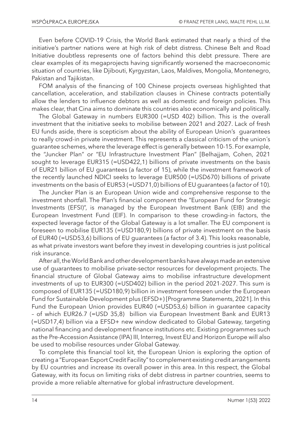Even before COVID-19 Crisis, the World Bank estimated that nearly a third of the initiative's partner nations were at high risk of debt distress. Chinese Belt and Road Initiative doubtless represents one of factors behind this debt pressure. There are clear examples of its megaprojects having significantly worsened the macroeconomic situation of countries, like Djibouti, Kyrgyzstan, Laos, Maldives, Mongolia, Montenegro, Pakistan and Tajikistan.

FOM analysis of the financing of 100 Chinese projects overseas highlighted that cancellation, acceleration, and stabilization clauses in Chinese contracts potentially allow the lenders to influence debtors as well as domestic and foreign policies. This makes clear, that Cina aims to dominate this countries also economically and politically.

The Global Gateway in numbers EUR300 (=USD 402) billion. This is the overall investment that the initiative seeks to mobilise between 2021 and 2027. Lack of fresh EU funds aside, there is scepticism about the ability of European Union's guarantees to really crowd-in private investment. This represents a classical criticism of the union´s guarantee schemes, where the leverage effect is generally between 10-15. For example, the "Juncker Plan" or "EU Infrastructure Investment Plan" [Belhajjam, Cohen, 2021 sought to leverage EUR315 (=USD422,1) billions of private investments on the basis of EUR21 billion of EU guarantees (a factor of 15), while the investment framework of the recently launched NDICI seeks to leverage EUR500 (=USD670) billions of private investments on the basis of EUR53 (=USD71,0) billions of EU guarantees (a factor of 10).

The Juncker Plan is an European Union wide and comprehensive response to the investment shortfall. The Plan's financial component the "European Fund for Strategic Investments (EFSI)", is managed by the European Investment Bank (EIB) and the European Investment Fund (EIF). In comparison to these crowding-in factors, the expected leverage factor of the Global Gateway is a lot smaller. The EU component is foreseen to mobilise EUR135 (=USD180,9) billions of private investment on the basis of EUR40 (=USD53,6) billions of EU guarantees (a factor of 3.4). This looks reasonable, as what private investors want before they invest in developing countries is just political risk insurance.

After all, the World Bank and other development banks have always made an extensive use of guarantees to mobilise private-sector resources for development projects. The financial structure of Global Gateway aims to mobilise infrastructure development investments of up to EUR300 (=USD402) billion in the period 2021-2027. This sum is composed of EUR135 (=USD180,9) billion in investment foreseen under the European Fund for Sustainable Development plus (EFSD+) [Programme Statements, 2021]. In this Fund the European Union provides EUR40 (=USD53,6) billion in guarantee capacity – of which EUR26.7 (=USD 35,8) billion via European Investment Bank and EUR13 (=USD17,4) billion via a EFSD+ new window dedicated to Global Gateway, targeting national financing and development finance institutions etc. Existing programmes such as the Pre-Accession Assistance (IPA) III, Interreg, Invest EU and Horizon Europe will also be used to mobilise resources under Global Gateway.

To complete this financial tool kit, the European Union is exploring the option of creating a "European Export Credit Facility" to complement existing credit arrangements by EU countries and increase its overall power in this area. In this respect, the Global Gateway, with its focus on limiting risks of debt distress in partner countries, seems to provide a more reliable alternative for global infrastructure development.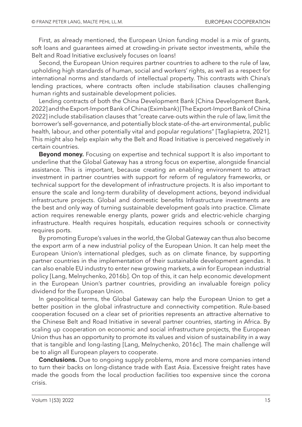First, as already mentioned, the European Union funding model is a mix of grants, soft loans and guarantees aimed at crowding-in private sector investments, while the Belt and Road Initiative exclusively focuses on loans!

Second, the European Union requires partner countries to adhere to the rule of law, upholding high standards of human, social and workers' rights, as well as a respect for international norms and standards of intellectual property. This contrasts with China's lending practices, where contracts often include stabilisation clauses challenging human rights and sustainable development policies.

Lending contracts of both the China Development Bank [China Development Bank, 2022] and the Export-Import Bank of China (Eximbank) [The Export-Import Bank of China 2022] include stabilisation clauses that "create carve-outs within the rule of law, limit the borrower's self-governance, and potentially block state-of-the-art environmental, public health, labour, and other potentially vital and popular regulations" [Tagliapietra, 2021]. This might also help explain why the Belt and Road Initiative is perceived negatively in certain countries.

**Beyond money.** Focusing on expertise and technical support It is also important to underline that the Global Gateway has a strong focus on expertise, alongside financial assistance. This is important, because creating an enabling environment to attract investment in partner countries with support for reform of regulatory frameworks, or technical support for the development of infrastructure projects. It is also important to ensure the scale and long-term durability of development actions, beyond individual infrastructure projects. Global and domestic benefits Infrastructure investments are the best and only way of turning sustainable development goals into practice. Climate action requires renewable energy plants, power grids and electric-vehicle charging infrastructure. Health requires hospitals, education requires schools or connectivity requires ports.

By promoting Europe's values in the world, the Global Gateway can thus also become the export arm of a new industrial policy of the European Union. It can help meet the European Union's international pledges, such as on climate finance, by supporting partner countries in the implementation of their sustainable development agendas. It can also enable EU industry to enter new growing markets, a win for European industrial policy [Lang, Melnychenko, 2016b]. On top of this, it can help economic development in the European Union's partner countries, providing an invaluable foreign policy dividend for the European Union.

In geopolitical terms, the Global Gateway can help the European Union to get a better position in the global infrastructure and connectivity competition. Rule-based cooperation focused on a clear set of priorities represents an attractive alternative to the Chinese Belt and Road Initiative in several partner countries, starting in Africa. By scaling up cooperation on economic and social infrastructure projects, the European Union thus has an opportunity to promote its values and vision of sustainability in a way that is tangible and long-lasting [Lang, Melnychenko, 2016c]. The main challenge will be to align all European players to cooperate.

**Conclusions.** Due to ongoing supply problems, more and more companies intend to turn their backs on long-distance trade with East Asia. Excessive freight rates have made the goods from the local production facilities too expensive since the corona crisis.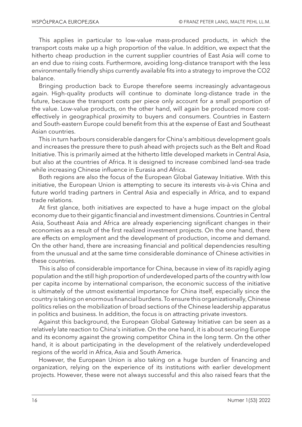This applies in particular to low-value mass-produced products, in which the transport costs make up a high proportion of the value. In addition, we expect that the hitherto cheap production in the current supplier countries of East Asia will come to an end due to rising costs. Furthermore, avoiding long-distance transport with the less environmentally friendly ships currently available fits into a strategy to improve the CO2 balance.

Bringing production back to Europe therefore seems increasingly advantageous again. High-quality products will continue to dominate long-distance trade in the future, because the transport costs per piece only account for a small proportion of the value. Low-value products, on the other hand, will again be produced more costeffectively in geographical proximity to buyers and consumers. Countries in Eastern and South-eastern Europe could benefit from this at the expense of East and Southeast Asian countries.

This in turn harbours considerable dangers for China's ambitious development goals and increases the pressure there to push ahead with projects such as the Belt and Road Initiative. This is primarily aimed at the hitherto little developed markets in Central Asia, but also at the countries of Africa. It is designed to increase combined land-sea trade while increasing Chinese influence in Eurasia and Africa.

Both regions are also the focus of the European Global Gateway Initiative. With this initiative, the European Union is attempting to secure its interests vis-à-vis China and future world trading partners in Central Asia and especially in Africa, and to expand trade relations.

At first glance, both initiatives are expected to have a huge impact on the global economy due to their gigantic financial and investment dimensions. Countries in Central Asia, Southeast Asia and Africa are already experiencing significant changes in their economies as a result of the first realized investment projects. On the one hand, there are effects on employment and the development of production, income and demand. On the other hand, there are increasing financial and political dependencies resulting from the unusual and at the same time considerable dominance of Chinese activities in these countries.

This is also of considerable importance for China, because in view of its rapidly aging population and the still high proportion of underdeveloped parts of the country with low per capita income by international comparison, the economic success of the initiative is ultimately of the utmost existential importance for China itself, especially since the country is taking on enormous financial burdens. To ensure this organizationally, Chinese politics relies on the mobilization of broad sections of the Chinese leadership apparatus in politics and business. In addition, the focus is on attracting private investors.

Against this background, the European Global Gateway Initiative can be seen as a relatively late reaction to China's initiative. On the one hand, it is about securing Europe and its economy against the growing competitor China in the long term. On the other hand, it is about participating in the development of the relatively underdeveloped regions of the world in Africa, Asia and South America.

However, the European Union is also taking on a huge burden of financing and organization, relying on the experience of its institutions with earlier development projects. However, these were not always successful and this also raised fears that the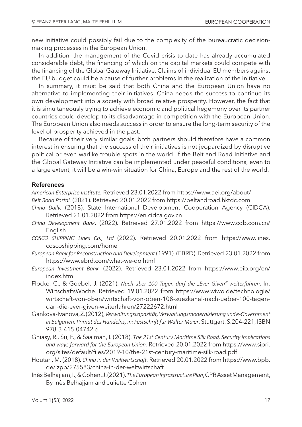new initiative could possibly fail due to the complexity of the bureaucratic decisionmaking processes in the European Union.

In addition, the management of the Covid crisis to date has already accumulated considerable debt, the financing of which on the capital markets could compete with the financing of the Global Gateway Initiative. Claims of individual EU members against the EU budget could be a cause of further problems in the realization of the initiative.

In summary, it must be said that both China and the European Union have no alternative to implementing their initiatives. China needs the success to continue its own development into a society with broad relative prosperity. However, the fact that it is simultaneously trying to achieve economic and political hegemony over its partner countries could develop to its disadvantage in competition with the European Union. The European Union also needs success in order to ensure the long-term security of the level of prosperity achieved in the past.

Because of their very similar goals, both partners should therefore have a common interest in ensuring that the success of their initiatives is not jeopardized by disruptive political or even warlike trouble spots in the world. If the Belt and Road Initiative and the Global Gateway Initiative can be implemented under peaceful conditions, even to a large extent, it will be a win-win situation for China, Europe and the rest of the world.

#### **References**

*American Enterprise Institute.* Retrieved 23.01.2022 from https://www.aei.org/about/

- *Belt Road Portal.* (2021). Retrieved 20.01.2022 from https://beltandroad.hktdc.com
- *China Daily.* (2018). State International Development Cooperation Agency (CIDCA). Retrieved 21.01.2022 from https://en.cidca.gov.cn
- *China Development Bank*. (2022). Retrieved 27.01.2022 from https://www.cdb.com.cn/ English
- *COSCO SHIPPING Lines Co., Ltd* (2022). Retrieved 20.01.2022 from https://www.lines. coscoshipping.com/home
- *European Bank for Reconstruction and Development* (1991). (EBRD). Retrieved 23.01.2022 from https://www.ebrd.com/what-we-do.html
- *European Investment Bank.* (2022). Retrieved 23.01.2022 from https://www.eib.org/en/ index.htm
- Flocke, C., & Goebel, J. (2021). *Nach über 100 Tagen darf die "Ever Given" weiterfahren*. In: WirtschaftsWoche. Retrieved 19.01.2022 from https://www.wiwo.de/technologie/ wirtschaft-von-oben/wirtschaft-von-oben-108-suezkanal-nach-ueber-100-tagendarf-die-ever-given-weiterfahren/27222672.html
- Gankova-Ivanova, Z. (2012), *Verwaltungskapazität, Verwaltungsmodernisierung und e-Government in Bulgarien, Primat des Handelns, in: Festschrift für Walter Maier*, Stuttgart. S.204-221, ISBN 978-3-415-04742-6
- Ghiasy, R., Su, F., & Saalman, I. (2018). *The 21st Century Maritime Silk Road, Security implications and ways forward for the European Union.* Retrieved 20.01.2022 from https://www.sipri. org/sites/default/files/2019-10/the-21st-century-maritime-silk-road.pdf
- Houtari, M. (2018). *China in der Weltwirtschaft.* Retrieved 20.01.2022 from https://www.bpb. de/izpb/275583/china-in-der-weltwirtschaft
- Inès Belhajjam, I., & Cohen, J. (2021). *The European Infrastructure Plan*, CPR Asset Management, By Inès Belhajjam and Juliette Cohen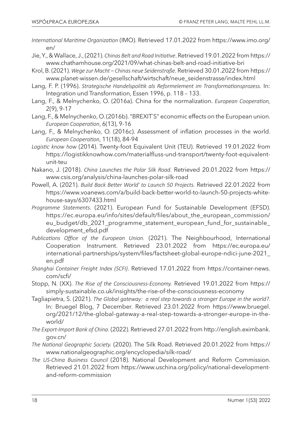- *International Maritime Organization* (IMO). Retrieved 17.01.2022 from https://www.imo.org/ en/
- Jie, Y., & Wallace, J., (2021). *Chinas Belt and Road Initiative*. Retrieved 19.01.2022 from https:// www.chathamhouse.org/2021/09/what-chinas-belt-and-road-initiative-bri
- Krol, B. (2021). *Wege zur Macht Chinas neue Seidenstraße.* Retrieved 30.01.2022 from https:// www.planet-wissen.de/gesellschaft/wirtschaft/neue\_seidenstrasse/index.html
- Lang, F. P. (1996). *Strategische Handelspolitik als Reformelement im Transformationsprozess.* In: Integration und Transformation, Essen 1996, p. 118 – 133.
- Lang, F., & Melnychenko, O. (2016a). China for the normalization. *European Cooperation,* 2(9), 9-17
- Lang, F., & Melnychenko, O. (2016b). "BREXITS" economic effects on the European union. *European Cooperation*, 6(13), 9-16
- Lang, F., & Melnychenko, O. (2016c). Assessment of inflation processes in the world. *European Cooperation*, 11(18), 84-94
- *Logistic know how* (2014). Twenty-foot Equivalent Unit (TEU). Retrieved 19.01.2022 from https://logistikknowhow.com/materialfluss-und-transport/twenty-foot-equivalentunit-teu
- Nakano, J. (2018). *China Launches the Polar Silk Road.* Retrieved 20.01.2022 from https:// www.csis.org/analysis/china-launches-polar-silk-road
- Powell, A. (2021). *Build Back Better World' to Launch 50 Projects.* Retrieved 22.01.2022 from https://www.voanews.com/a/build-back-better-world-to-launch-50-projects-whitehouse-says/6307433.html
- *Programme Statements*. (2021). European Fund for Sustainable Development (EFSD). https://ec.europa.eu/info/sites/default/files/about\_the\_european\_commission/ eu\_budget/db\_2021\_programme\_statement\_european\_fund\_for\_sustainable\_ development\_efsd.pdf
- *Publications Office of the European Union.* (2021). The Neighbourhood, International Cooperation Instrument. Retrieved 23.01.2022 from https://ec.europa.eu/ international-partnerships/system/files/factsheet-global-europe-ndici-june-2021\_ en.pdf
- *Shanghai Container Freight Index (SCFI)*. Retrieved 17.01.2022 from https://container-news. com/scfi/
- Stopp, N. (XX). *The Rise of the Consciousness-Economy.* Retrieved 19.01.2022 from https:// simply-sustainable.co.uk/insights/the-rise-of-the-consciousness-economy
- Tagliapietra, S. (2021). *The Global gateway: a real step towards a stronger Europe in the world?*. In: Bruegel Blog, 7 December. Retrieved 23.01.2022 from https://www.bruegel. org/2021/12/the-global-gateway-a-real-step-towards-a-stronger-europe-in-theworld/
- *The Export-Import Bank of China.* (2022). Retrieved 27.01.2022 from http://english.eximbank. gov.cn/
- *The National Geographic Society.* (2020). The Silk Road. Retrieved 20.01.2022 from https:// www.nationalgeographic.org/encyclopedia/silk-road/
- *The US-China Business Council* (2018). National Development and Reform Commission. Retrieved 21.01.2022 from https://www.uschina.org/policy/national-developmentand-reform-commission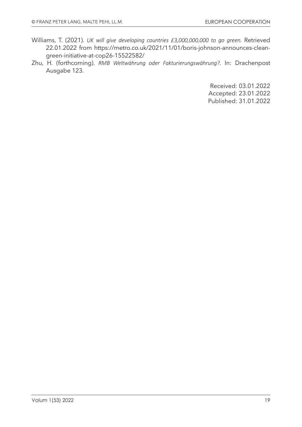- Williams, T. (2021). *UK will give developing countries £3,000,000,000 to go green.* Retrieved 22.01.2022 from https://metro.co.uk/2021/11/01/boris-johnson-announces-cleangreen-initiative-at-cop26-15522582/
- Zhu, H. (forthcoming). *RMB Weltwährung oder Fakturierungswährung?*. In: Drachenpost Ausgabe 123.

Received: 03.01.2022 Accepted: 23.01.2022 Published: 31.01.2022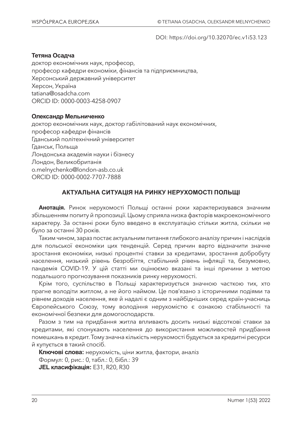DOI: https://doi.org/10.32070/ec.v1i53.123

#### **Тетяна Осадча**

доктор економічних наук, професор, професор кафедри економіки, фінансів та підприємництва, Херсонський державний університет Херсон, Україна tatiana@osadcha.com ORCID ID: 0000-0003-4258-0907

#### **Олександр Мельниченко**

доктор економічних наук, доктор габілітований наук економічних, професор кафедри фінансів Гданський політехнічний університет Гданськ, Польща Лондонська академія науки і бізнесу Лондон, Великобританія o.melnychenko@london-asb.co.uk ORCID ID: 0000-0002-7707-7888

#### **АКТУАЛЬНА СИТУАЦІЯ НА РИНКУ НЕРУХОМОСТІ ПОЛЬЩІ**

**Анотація.** Ринок нерухомості Польщі останні роки характеризувався значним збільшенням попиту й пропозиції. Цьому сприяла низка факторів макроекономічного характеру. За останні роки було введено в експлуатацію стільки житла, скільки не було за останні 30 років.

Таким чином, зараз постає актуальним питання глибокого аналізу причин і наслідків для польської економіки цих тенденцій. Серед причин варто відзначити значне зростання економіки, низькі процентні ставки за кредитами, зростання добробуту населення, низький рівень безробіття, стабільний рівень інфляції та, безумовно, пандемія COVID-19. У цій статті ми оцінюємо вказані та інші причини з метою подальшого прогнозування показників ринку нерухомості.

Крім того, суспільство в Польщі характеризується значною часткою тих, хто прагне володіти житлом, а не його наймом. Це пов'язано з історичними подіями та рівнем доходів населення, яке й надалі є одним з найбідніших серед країн-учасниць Європейського Союзу, тому володіння нерухомістю є ознакою стабільності та економічної безпеки для домогосподарств.

Разом з тим на придбання житла впливають досить низькі відсоткові ставки за кредитами, які спонукають населення до використання можливостей придбання помешкань в кредит. Тому значна кількість нерухомості будується за кредитні ресурси й купується в такий спосіб.

**Ключові слова:** нерухомість, ціни житла, фактори, аналіз Формул: 0, рис.: 0, табл.: 0, бібл.: 39 **JEL класифікація:** E31, R20, R30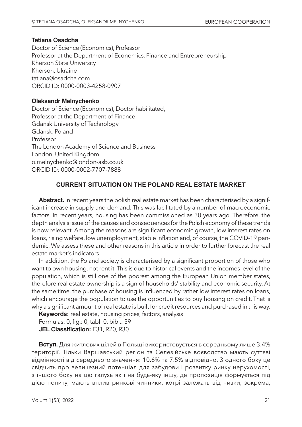#### **Tetiana Osadcha**

Doctor of Science (Economics), Professor Professor at the Department of Economics, Finance and Entrepreneurship Kherson State University Kherson, Ukraine tatiana@osadcha.com ORCID ID: 0000-0003-4258-0907

#### **Oleksandr Melnychenko**

Doctor of Science (Economics), Doctor habilitated, Professor at the Department of Finance Gdansk University of Technology Gdansk, Poland Professor The London Academy of Science and Business London, United Kingdom o.melnychenko@london-asb.co.uk ORCID ID: 0000-0002-7707-7888

#### **CURRENT SITUATION ON THE POLAND REAL ESTATE MARKET**

**Abstract.** In recent years the polish real estate market has been characterised by a significant increase in supply and demand. This was facilitated by a number of macroeconomic factors. In recent years, housing has been commissioned as 30 years ago. Therefore, the depth analysis issue of the causes and consequences for the Polish economy of these trends is now relevant. Among the reasons are significant economic growth, low interest rates on loans, rising welfare, low unemployment, stable inflation and, of course, the COVID-19 pandemic. We assess these and other reasons in this article in order to further forecast the real estate market's indicators.

In addition, the Poland society is characterised by a significant proportion of those who want to own housing, not rent it. This is due to historical events and the incomes level of the population, which is still one of the poorest among the European Union member states, therefore real estate ownership is a sign of households' stability and economic security. At the same time, the purchase of housing is influenced by rather low interest rates on loans, which encourage the population to use the opportunities to buy housing on credit. That is why a significant amount of real estate is built for credit resources and purchased in this way.

**Keywords:** real estate, housing prices, factors, analysis Formulas: 0, fig.: 0, tabl: 0, bibl.: 39 **JEL Classification:** E31, R20, R30

**Вступ.** Для житлових цілей в Польщі використовується в середньому лише 3.4% території. Тільки Варшавський регіон та Селезійське воєводство мають суттєві відмінності від середнього значення: 10.6% та 7.5% відповідно. З одного боку це свідчить про величезний потенціал для забудови і розвитку ринку нерухомості, з іншого боку на цю галузь як і на будь-яку іншу, де пропозиція формується під дією попиту, мають вплив ринкові чинники, котрі залежать від низки, зокрема,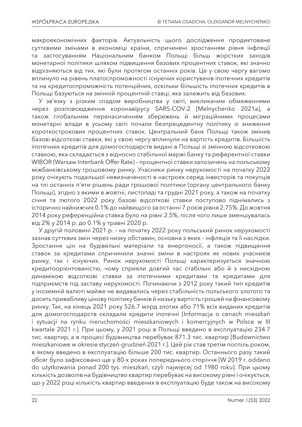макроекономічних факторів. Актуальність цього дослідження продиктоване суттєвими змінами в економіці країни, спричинені зростанням рівня інфляції та застосуванням Національним банком Польщі більш жорстких заходів монетарної політики шляхом підвищення базових процентних ставок, які значно відрізняються від тих, які були протягом останніх років. Це у свою чергу вагомо вплинуло на рівень платоспроможності існуючих користувачів іпотечних кредитів та на кредитоспроможність потенційних, оскільки більшість іпотечних кредитів в Польщі базуються на змінній процентній ставці, яка залежить від базових.

У зв'язку з різким спадом виробництва у світі, викликаним обмеженнями через розповсюдження коронавірусу SARS-COV-2 [Melnychenko 2021a], а також глобальним перенасиченням збережень й міграційними процесами монетарні влади в усьому світі почали безпрецедентну політику зі зниження короткострокових процентних ставок. Центральний банк Польщі також змінив базові відсоткові ставки, які у свою чергу вплинули на вартість кредитів. Більшість іпотечних кредитів для домогосподарств видані в Польщі зі змінною відсотковою ставкою, яка складається з відносно стабільної маржі банку та референтної ставки WIBOR (Warsaw Interbank Offer Rate) – процентної ставки запозичень на польському міжбанківському грошовому ринку. Учасники ринку нерухомості на початку 2022 року очікують подальшої невизначеності в настроях серед інвесторів та покупців на тлі останніх п'яти рішень ради грошової політики (органу центрального банку Польщі), згідно з якими в жовтні, листопаді та грудні 2021 року, а також на початку січня та лютого 2022 року базові відсоткові ставки поступово піднімались з історично найнижчих 0.1% до найвищого за останні 7 років рівня 2.75%. До жовтня 2014 року референційна ставка було на рівні 2.5%, після чого лише зменшувалась від 2% у 2014 р. до 0.1% у травні 2020 р.

У другій половині 2021 р. – на початку 2022 року польський ринок нерухомості зазнав суттєвих змін через низку обставин, основна з яких – інфляція та її наслідки. Зростання цін на будівельні матеріали та енергоносії, а також підвищення ставок за кредитами спричинили значні зміни в настроях як нових учасників ринку, так і існуючих. Ринок нерухомості Польщі характеризується значною кредитоорієнтованістю, чому сприяли довгий час стабільні або й з нисхідною динамікою відсоткові ставки за іпотечними кредитами та кредитами для підприємств під заставу нерухомості. Починаючи з 2012 року такий тип кредитів у іноземній валюті майже не видавались через стабільність польського злотого та досить привабливу цінову політику банків й низьку вартість грошей на фінансовому ринку. Так, на кінець 2021 року 526.7 млрд злотих або 71% всіх виданих кредитів для домогосподарств складали кредити іпотечні [Informacja o cenach mieszkań i sytuacji na rynku nieruchomości mieszkaniowych i komercyjnych w Polsce w III kwartale 2021 r.]. При цьому, у 2021 році в Польщі введено в експлуатацію 234.7 тис. квартир, а в процесі будівництва перебуває 871.3 тис. квартир [Budownictwo mieszkaniowe w okresie styczeń-grudzień 2021 r.]. Цей рік став третім поспіль роком, в якому введено в експлуатацію більше 200 тис. квартир. Останнього разу такий обсяг було зафіксовано ще у 80-х роках попереднього сторіччя [W 2019 r. oddano do użytkowania ponad 200 tys. mieszkań, czyli najwięcej od 1980 roku]. При цьому кількість дозволів на будівництво квартир перебуває на високому рівні і очікується, що у 2022 році кількість квартир введених в експлуатацію буде також на високому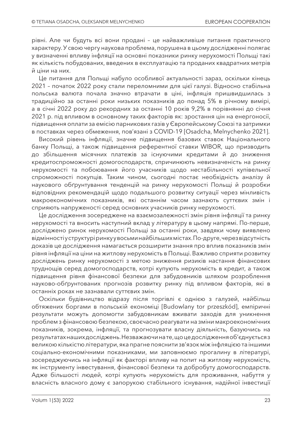рівні. Але чи будуть всі вони продані – це найважливіше питання практичного характеру. У свою чергу наукова проблема, порушена в цьому дослідженні полягає у визначенні впливу інфляції на основні показники ринку нерухомості Польщі такі як кількість побудованих, введених в експлуатацію та проданих квадратних метрів й ціни на них.

Це питання для Польщі набуло особливої актуальності зараз, оскільки кінець 2021 – початок 2022 року стали переломними для цієї галузі. Відносно стабільна польська валюта почала значно втрачати в ціні, інфляція пришвидшилась з традиційно за останні роки низьких показників до понад 5% в річному вимірі, а в січні 2022 року до рекордних за останні 10 років 9,2% в порівнянні до січня 2021 р. під впливом в основному таких факторів як: зростання цін на енергоносії, підвищення оплати за емісію парникових газів у Європейському Союзі та затримки в поставках через обмеження, пов'язані з COVID-19 [Osadcha, Melnychenko 2021].

Високий рівень інфляції, значне підвищення базових ставок Національного банку Польщі, а також підвищення референтної ставки WIBOR, що призводить до збільшення місячних платежів за існуючими кредитами й до зниження кредитоспроможності домогосподарств, спричинюють невизначеність на ринку нерухомості та побоювання його учасників щодо нестабільності купівельної спроможності покупців. Таким чином, сьогодні постає необхідність аналізу й наукового обґрунтування тенденцій на ринку нерухомості Польщі й розробки відповідних рекомендацій щодо подальшого розвитку ситуації через мінливість макроекономічних показників, які останнім часом зазнають суттєвих змін і сприяють напруженості серед основних учасників ринку нерухомості.

Це дослідження зосереджене на взаємозалежності змін рівня інфляції та ринку нерухомості та вносить наступний вклад у літературу в цьому напрямі. По-перше, досліджено ринок нерухомості Польщі за останні роки, завдяки чому виявлено відмінності у структурі ринку у восьми найбільших містах. По-друге, через відсутність доказів це дослідження намагається розширити знання про вплив показників змін рівня інфляції на ціни на житлову нерухомість в Польщі. Важливо сприяти розвитку досліджень ринку нерухомості з метою зниження ризиків настання фінансових труднощів серед домогосподарств, котрі купують нерухомість в кредит, а також підвищення рівня фінансової безпеки для забудовників шляхом розроблення науково-обґрунтованих прогнозів розвитку ринку під впливом факторів, які в останніх роках не зазнавали суттєвих змін.

Оскільки будівництво відразу після торгівлі є однією з галузей, найбільш обтяжених боргами в польській економіці [Budowlany tor przeszkód], емпіричні результати можуть допомогти забудовникам вживати заходів для уникнення проблем з фінансовою безпекою, своєчасно реагувати на зміни макроекономічних показників, зокрема, інфляції, та прогнозувати власну діяльність, базуючись на результатах наших досліджень. Незважаючи на те, що це дослідження об'єднується з великою кількістю літератури, яка прагне пояснити зв'язок між інфляцією та іншими соціально-економічними показниками, ми заповнюємо прогалину в літературі, зосереджуючись на інфляції як факторі впливу на попит на житлову нерухомість, як інструменту інвестування, фінансової безпеки та добробуту домогосподарств. Адже більшості людей, котрі купують нерухомість для проживання, набуття у власність власного дому є запорукою стабільного існування, надійної інвестиції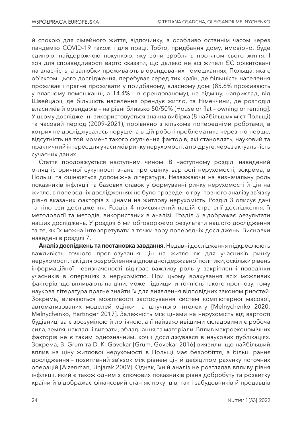й спокою для сімейного життя, відпочинку, а особливо останнім часом через пандемію COVID-19 також і для праці. Тобто, придбання дому, ймовірно, буде єдиною, найдорожчою покупкою, яку вони зроблять протягом свого життя. І хоч для справедливості варто сказати, що далеко не всі жителі ЄС орієнтовані на власність, а залюбки проживають в орендованих помешканнях, Польща, яка є об'єктом цього дослідження, перебуває серед тих країн, де більшість населення проживає і прагне проживати у придбаному, власному домі (85.6% проживають у власному помешканні, а 14.4% - в орендованому), на відміну, наприклад, від Швейцарії, де більшість населення орендує житло, та Німеччини, де розподіл власників й орендарів – на рівні близько 50/50% [House or flat – owning or renting]. У цьому дослідженні використовується значна вибірка (8 найбільших міст Польщі) та часовий період (2009–2021), порівняно з кількома попередніми роботами, в котрих не досліджувалась порушена в цій роботі проблематика через, по-перше, відсутність на той момент такого скупчення факторів, які становлять, науковий та практичний інтерес для учасників ринку нерухомості, а по-друге, через актуальність сучасних даних.

Стаття продовжується наступним чином. В наступному розділі наведений огляд історичної сукупності знань про оцінку вартості нерухомості, зокрема, в Польщі та оцінюється допоміжна література. Незважаючи на визначальну роль показників інфляції та базових ставок у формуванні ринку нерухомості й цін на житло, в попередніх дослідженнях не було проведено ґрунтовного аналізу зв'язку рівня вказаних факторів з цінами на житлову нерухомість. Розділ 3 описує дані та гіпотези дослідження. Розділ 4 присвячений нашій стратегії дослідження, її методології та методів, використаних в аналізі. Розділ 5 відображає результати наших досліджень. У розділі 6 ми обговорюємо результати нашого дослідження та те, як їх можна інтерпретувати з точки зору попередніх досліджень. Висновки наведені в розділі 7.

**Аналіз досліджень та постановка завдання.** Недавні дослідження підкреслюють важливість точного прогнозування цін на житло як для учасників ринку нерухомості, так і для розроблення відповідної державної політики, оскільки рівень інформаційної невизначеності відіграє важливу роль у закріпленні поведінки учасників в операціях з нерухомістю. При цьому врахування всіх можливих факторів, що впливають на ціни, може підвищити точність такого прогнозу, тому наукова література прагне знайти їх для виявлення відповідних закономірностей. Зокрема, вивчаються можливості застосування систем комп'ютерної масової, автоматизованих моделей оцінки та штучного інтелекту [Melnychenko 2020; Melnychenko, Hartinger 2017]. Залежність між цінами на нерухомість від вартості будівництва є зрозумілою й логічною, а її найважливішими складовими є робоча сила, земля, накладні витрати, обладнання та матеріали. Вплив макроекономічних факторів не є таким однозначним, хоч і досліджувався в наукових публікаціях. Зокрема, B. Grum та D. K. Govekar [Grum, Govekar 2016] виявили, що найбільший вплив на ціну житлової нерухомості в Польщі має безробіття, а більш раннє дослідження – позитивний зв'язок між рівнем цін й дефіцитом рахунку поточних операцій [Aizenman, Jinjarak 2009]. Однак, їхній аналіз не розглядав впливу рівня інфляції, який є також одним з ключових показників рівня добробуту та розвитку країни й відображає фінансовий стан як покупців, так і забудовників й продавців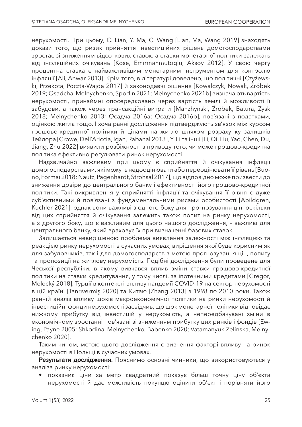нерухомості. При цьому, C. Lian, Y. Ma, C. Wang [Lian, Ma, Wang 2019] знаходять докази того, що ризик прийняття інвестиційних рішень домогосподарствами зростає зі зниженням відсоткових ставок, а ставки монетарної політики залежать від інфляційних очікувань [Kose, Emirmahmutoglu, Aksoy 2012]. У свою чергу процентна ставка є найважливішим монетарним інструментом для контролю інфляції [Ali, Anwar 2013]. Крім того, в літературі доведено, що політичні [Czyżewski, Przekota, Poczta-Wajda 2017] й законодавчі рішення [Kowalczyk, Nowak, Źróbek 2019; Osadcha, Melnychenko, Spodin 2021; Melnychenko 2021b] визначають вартість нерухомості, принаймні опосередковано через вартість землі й можливості її забудови, а також через трансакційні витрати [Manzhynski, Źróbek, Batura, Zysk 2018; Melnychenko 2013; Осадча 2016a; Осадча 2016b], пов'язані з податками, оцінкою житла тощо. І хоча ранні дослідження підтверджують зв'язок між курсом грошово-кредитної політики й цінами на житло шляхом розрахунку залишків Тейлора [Crowe, Dell'Ariccia, Igan, Rabanal 2013], Y. Li та інші [Li, Qi, Liu, Yao, Chen, Du, Jiang, Zhu 2022] виявили розбіжності з приводу того, чи може грошово-кредитна політика ефективно регулювати ринок нерухомості.

Надзвичайно важливим при цьому є сприйняття й очікування інфляції домогосподарствами, які можуть недооцінювати або переоцінювати її рівень [Buono, Formai 2018; Nautz, Pagenhardt, Strohsal 2017], що відповідно може призвести до зниження довіри до центрального банку і ефективності його грошово-кредитної політики. Такі викривлення у сприйнятті інфляції та очікування її рівня є дуже суб'єктивними й пов'язані з фундаментальними рисами особистості [Abildgren, Kuchler 2021], однак вони важливі з одного боку для прогнозування цін, оскільки від цих сприйняття й очікування залежить також попит на ринку нерухомості, а з другого боку, що є важливим для цього нашого дослідження, – важливі для центрального банку, який враховує їх при визначенні базових ставок.

Залишається невирішеною проблема виявлення залежності між інфляцією та реакцією ринку нерухомості в сучасних умовах, вирішення якої буде корисним як для забудовників, так і для домогосподарств з метою прогнозування цін, попиту та пропозиції на житлову нерухомість. Подібні дослідження були проведене для Чеської республіки, в якому вивчався вплив зміни ставки грошово-кредитної політики на ставки кредитування, у тому числі, за іпотечними кредитами [Gregor, Melecký 2018], Турції в контексті впливу пандемії COVID-19 на сектор нерухомості в цій країні [Tanrıvermiş 2020] та Китаю [Zhang 2013] з 1998 по 2010 роки. Також ранній аналіз впливу шоків макроекономічної політики на ринки нерухомості й інвестиційні фонди нерухомості засвідчив, що шок монетарної політики відповідає нижчому прибутку від інвестицій у нерухомість, а непередбачувані зміни в економічному зростанні пов'язані зі зниженням прибутку цих ринків і фондів [Ewing, Payne 2005; Shkodina, Melnychenko, Babenko 2020; Vatamanyuk-Zelinska, Melnychenko 2020].

Таким чином, метою цього дослідження є вивчення факторі впливу на ринок нерухомості в Польщі в сучасних умовах.

**Результати дослідження.** Пояснимо основні чинники, що використовуються у аналіза ринку нерухомості:

• показник ціни за метр квадратний показує більш точну ціну об'єкта нерухомості й дає можливість покупцю оцінити об'єкт і порівняти його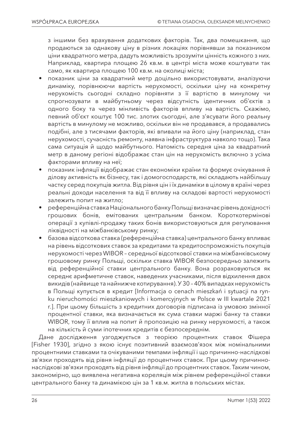з іншими без врахування додаткових факторів. Так, два помешкання, що продаються за однакову ціну в різних локаціях порівнявши за показником ціни квадратного метра, дадуть можливість зрозуміти цінність кожного з них. Наприклад, квартира площею 26 кв.м. в центрі міста може коштувати так само, як квартира площею 100 кв.м. на околиці міста;

- показник ціни за квадратний метр доцільно використовувати, аналізуючи динаміку, порівнюючи вартість нерухомості, оскільки ціну на конкретну нерухомість сьогодні складно порівняти з її вартістю в минулому чи спрогнозувати в майбутньому через відсутність ідентичних об'єктів з одного боку та через мінливість факторів впливу на вартість. Скажімо, певний об'єкт коштує 100 тис. злотих сьогодні, але з'ясувати його реальну вартість в минулому не можливо, оскільки він не продавався, а продавались подібні, але з тисячами факторів, які впивали на його ціну (наприклад, стан нерухомості, сучасність ремонту, наявна інфраструктура навколо тощо). Така сама ситуація й щодо майбутнього. Натомість середня ціна за квадратний метр в даному регіоні відображає стан цін на нерухомість включно з усіма факторами впливу на неї;
- показник інфляції відображає стан економіки країни та формує очікування й ділову активність як бізнесу, так і домогосподарств, які складають найбільшу частку серед покупців житла. Від рівня цін і їх динаміки в цілому в країні через реальні доходи населення та від її впливу на складові вартості нерухомості залежить попит на житло;
- референційна ставка Національного банку Польщі визначає рівень дохідності грошових бонів, емітованих центральним банком. Короткотермінові операції з купівлі-продажу таких бонів використовуються для регулювання ліквідності на міжбанківському ринку;
- базова відсоткова ставка (референційна ставка) центрального банку впливає на рівень відсоткових ставок за кредитами та кредитоспроможність покупців нерухомості через WIBOR – середньої відсоткової ставки на міжбанківському грошовому ринку Польщі, оскільки ставка WIBOR безпосередньо залежить від референційної ставки центрального банку. Вона розраховуються як середнє арифметичне ставок, наведених учасниками, після відхилення двох викидів (найвище та найнижче котирування). У 30 – 40% випадках нерухомість в Польщі купується в кредит [Informacja o cenach mieszkań i sytuacji na rynku nieruchomości mieszkaniowych i komercyjnych w Polsce w III kwartale 2021 r.]. При цьому більшість з кредитних договорів підписана із умовою змінної процентної ставки, яка визначається як сума ставки маржі банку та ставки WIBOR, тому її вплив на попит й пропозицію на ринку нерухомості, а також на кількість й суми іпотечних кредитів є безпосереднім.

Дане дослідження узгоджується з теорією процентних ставок Фішера [Fisher 1930], згідно з якою існує позитивний взаємозв'язок між номінальними процентними ставками та очікуваними темпами інфляції і що причинно-наслідкові зв'язки проходять від рівня інфляції до процентних ставок. При цьому причиннонаслідкові зв'язки проходять від рівня інфляції до процентних ставок. Таким чином, закономірно, що виявлена негативна кореляція між рівнем референційної ставки центрального банку та динамікою цін за 1 кв.м. житла в польських містах.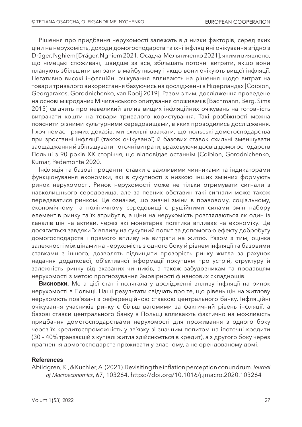Рішення про придбання нерухомості залежать від низки факторів, серед яких ціни на нерухомість, доходи домогосподарств та їхні інфляційні очікування згідно з Dräger, Nghiem [Dräger, Nghiem 2021; Осадча, Мельниченко 2021], якими виявлено, що німецькі споживачі, швидше за все, збільшать поточні витрати, якщо вони планують збільшити витрати в майбутньому і якщо вони очікують вищої інфляції. Негативно високі інфляційні очікування впливають на рішення щодо витрат на товари тривалого використання базуючись на дослідженні в Нідерландах [Coibion, Georgarakos, Gorodnichenko, van Rooij 2019]. Разом з тим, дослідження проведене на основі мікроданих Мічиганського опитування споживачів [Bachmann, Berg, Sims 2015] свідчить про невеликий вплив вищих інфляційних очікувань на готовність витрачати кошти на товари тривалого користування. Такі розбіжності можна пояснити різними культурними середовищами, в яких проводились дослідження. І хоч немає прямих доказів, ми схильні вважати, що польські домогосподарства при зростанні інфляції (також очікуваної) й базових ставок схильні зменшувати заощадження й збільшувати поточні витрати, враховуючи досвід домогосподарств Польщі з 90 років ХХ сторіччя, що відповідає останнім [Coibion, Gorodnichenko, Kumar, Pedemonte 2020.

Інфляція та базові процентні ставки є важливими чинниками та індикаторами функціонування економіки, які в сукупності з низкою інших змінних формують ринок нерухомості. Ринок нерухомості може не тільки отримувати сигнали з навколишнього середовища, але за певних обставин такі сигнали може також передаватися ринком. Це означає, що значні зміни в правовому, соціальному, економічному та політичному середовищі є рушійними силами змін набору елементів ринку та їх атрибутів, а ціни на нерухомість розглядаються як один із каналів цін на активи, через які монетарна політика впливає на економіку. Це досягається завдяки їх впливу на сукупний попит за допомогою ефекту добробуту домогосподарств і прямого впливу на витрати на житло. Разом з тим, оцінка залежності між цінами на нерухомість з одного боку й рівнем інфляції та базовими ставками з іншого, дозволять підвищити прозорість ринку житла за рахунок надання додаткової, об'єктивної інформації покупцям про устрій, структуру й залежність ринку від вказаних чинників, а також забудовникам та продавцям нерухомості з метою прогнозування ймовірності фінансових складнощів.

**Висновки.** Мета цієї статті полягала у дослідженні впливу інфляції на ринок нерухомості в Польщі. Наші результати свідчать про те, що рівень цін на житлову нерухомість пов'язані з референційною ставкою центрального банку. Інфляційні очікування учасників ринку є більш вагомими за фактичний рівень інфляції, а базові ставки центрального банку в Польщі впливають фактично на можливість придбання домогосподарствами нерухомості для проживання з одного боку через їх кредитоспроможність у зв'язку зі значним попитом на іпотечні кредити (30 – 40% транзакцій з купівлі житла здійснюється в кредит), а з другого боку через прагнення домогосподарств проживати у власному, а не орендованому домі.

#### **References**

Abildgren, K., & Kuchler, A. (2021). Revisiting the inflation perception conundrum. *Journal of Macroeconomics*, 67, 103264. https://doi.org/10.1016/j.jmacro.2020.103264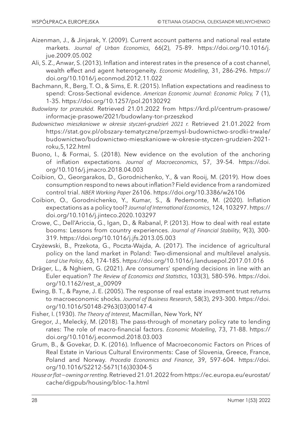- Aizenman, J., & Jinjarak, Y. (2009). Current account patterns and national real estate markets. *Journal of Urban Economics*, 66(2), 75-89. https://doi.org/10.1016/j. jue.2009.05.002
- Ali, S. Z., Anwar, S. (2013). Inflation and interest rates in the presence of a cost channel, wealth effect and agent heterogeneity. *Economic Modelling*, 31, 286-296. https:// doi.org/10.1016/j.econmod.2012.11.022
- Bachmann, R., Berg, T. O., & Sims, E. R. (2015). Inflation expectations and readiness to spend: Cross-Sectional evidence. *American Economic Journal: Economic Policy,* 7 (1), 1-35. https://doi.org/10.1257/pol.20130292
- *Budowlany tor przeszkód*. Retrieved 21.01.2022 from https://krd.pl/centrum-prasowe/ informacje-prasowe/2021/budowlany-tor-przeszkod
- *Budownictwo mieszkaniowe w okresie styczeń-grudzień 2021 r.* Retrieved 21.01.2022 from https://stat.gov.pl/obszary-tematyczne/przemysl-budownictwo-srodki-trwale/ budownictwo/budownictwo-mieszkaniowe-w-okresie-styczen-grudzien-2021 roku,5,122.html
- Buono, I., & Formai, S. (2018). New evidence on the evolution of the anchoring of inflation expectations. *Journal of Macroeconomics*, 57, 39-54. https://doi. org/10.1016/j.jmacro.2018.04.003
- Coibion, O., Georgarakos, D., Gorodnichenko, Y., & van Rooij, M. (2019). How does consumption respond to news about inflation? Field evidence from a randomized control trial. *NBER Working Paper* 26106. https://doi.org/10.3386/w26106
- Coibion, O., Gorodnichenko, Y., Kumar, S., & Pedemonte, M. (2020). Inflation expectations as a policy tool? *Journal of International Economics*, 124, 103297. https:// doi.org/10.1016/j.jinteco.2020.103297
- Crowe, C., Dell'Ariccia, G., Igan, D., & Rabanal, P. (2013). How to deal with real estate booms: Lessons from country experiences. *Journal of Financial Stability*, 9(3), 300- 319. https://doi.org/10.1016/j.jfs.2013.05.003
- Czyżewski, B., Przekota, G., Poczta-Wajda, A. (2017). The incidence of agricultural policy on the land market in Poland: Two-dimensional and multilevel analysis. *Land Use Policy*, 63, 174-185. https://doi.org/10.1016/j.landusepol.2017.01.016
- Dräger, L., & Nghiem, G. (2021). Are consumers' spending decisions in line with an Euler equation? *The Review of Economics and Statistics*, 103(3), 580-596. https://doi. org/10.1162/rest\_a\_00909
- Ewing, B. T., & Payne, J. E. (2005). The response of real estate investment trust returns to macroeconomic shocks. *Journal of Business Research*, 58(3), 293-300. https://doi. org/10.1016/S0148-2963(03)00147-4
- Fisher, I. (1930). *The Theory of Interest*, Macmillan, New York, NY
- Gregor, J., Melecký, M. (2018). The pass-through of monetary policy rate to lending rates: The role of macro-financial factors. *Economic Modelling*, 73, 71-88. https:// doi.org/10.1016/j.econmod.2018.03.003
- Grum, B., & Govekar, D. K. (2016). Influence of Macroeconomic Factors on Prices of Real Estate in Various Cultural Environments: Case of Slovenia, Greece, France, Poland and Norway. *Procedia Economics and Finance*, 39, 597-604. https://doi. org/10.1016/S2212-5671(16)30304-5
- *House or flat owning or renting.* Retrieved 21.01.2022 from https://ec.europa.eu/eurostat/ cache/digpub/housing/bloc-1a.html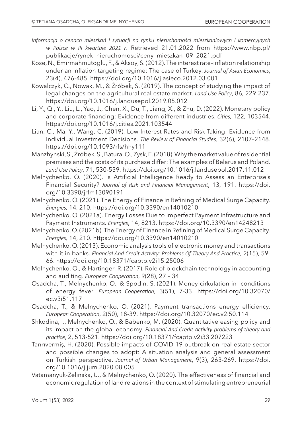- *Informacja o cenach mieszkań i sytuacji na rynku nieruchomości mieszkaniowych i komercyjnych w Polsce w III kwartale 2021 r*. Retrieved 21.01.2022 from https://www.nbp.pl/ publikacje/rynek\_nieruchomosci/ceny\_mieszkan\_09\_2021.pdf
- Kose, N., Emirmahmutoglu, F., & Aksoy, S. (2012). The interest rate–inflation relationship under an inflation targeting regime: The case of Turkey. *Journal of Asian Economics*, 23(4), 476-485. https://doi.org/10.1016/j.asieco.2012.03.001
- Kowalczyk, C., Nowak, M., & Źróbek, S. (2019). The concept of studying the impact of legal changes on the agricultural real estate market. *Land Use Policy*, 86, 229-237. https://doi.org/10.1016/j.landusepol.2019.05.012
- Li, Y., Qi, Y., Liu, L., Yao, J., Chen, X., Du, T., Jiang, X., & Zhu, D. (2022). Monetary policy and corporate financing: Evidence from different industries. *Cities,* 122, 103544. https://doi.org/10.1016/j.cities.2021.103544
- Lian, C., Ma, Y., Wang, C. (2019). Low Interest Rates and Risk-Taking: Evidence from Individual Investment Decisions. *The Review of Financial Studies,* 32(6), 2107–2148. https://doi.org/10.1093/rfs/hhy111
- Manzhynski, S., Źróbek, S., Batura, O., Zysk, E. (2018). Why the market value of residential premises and the costs of its purchase differ: The examples of Belarus and Poland. *Land Use Policy*, 71, 530-539. https://doi.org/10.1016/j.landusepol.2017.11.012
- Melnychenko, O. (2020). Is Artificial Intelligence Ready to Assess an Enterprise's Financial Security? *Journal of Risk and Financial Management*, 13, 191. https://doi. org/10.3390/jrfm13090191
- Melnychenko, O. (2021). The Energy of Finance in Refining of Medical Surge Capacity. *Energies,* 14, 210. https://doi.org/10.3390/en14010210
- Melnychenko, O. (2021a). Energy Losses Due to Imperfect Payment Infrastructure and Payment Instruments. *Energies*, 14, 8213. https://doi.org/10.3390/en14248213
- Melnychenko, O. (2021b). The Energy of Finance in Refining of Medical Surge Capacity. *Energies,* 14, 210. https://doi.org/10.3390/en14010210
- Melnychenko, O. (2013). Economic analysis tools of electronic money and transactions with it in banks. *Financial And Credit Activity: Problems Of Theory And Practice*, 2(15), 59- 66. https://doi.org/10.18371/fcaptp.v2i15.25006
- Melnychenko, O., & Hartinger, R. (2017). Role of blockchain technology in accounting and auditing. *European Cooperation*, 9(28), 27 – 34
- Osadcha, T., Melnychenko, O., & Spodin, S. (2021). Money cirkulation in conditions of energy fever. *European Cooperation*, 3(51), 7-33. https://doi.org/10.32070/ ec.v3i51.117
- Osadcha, T., & Melnychenko, O. (2021). Payment transactions energy efficiency. *European Cooperation*, 2(50), 18-39. https://doi.org/10.32070/ec.v2i50.114
- Shkodina, I., Melnychenko, O., & Babenko, M. (2020). Quantitative easing policy and its impact on the global economy. *Financial And Credit Activity-problems of theory and practice*, 2, 513-521. https://doi.org/10.18371/fcaptp.v2i33.207223
- Tanrıvermiş, H. (2020). Possible impacts of COVID-19 outbreak on real estate sector and possible changes to adopt: A situation analysis and general assessment on Turkish perspective. *Journal of Urban Management*, 9(3), 263-269. https://doi. org/10.1016/j.jum.2020.08.005
- Vatamanyuk-Zelinska, U., & Melnychenko, O. (2020). The effectiveness of financial and economic regulation of land relations in the context of stimulating entrepreneurial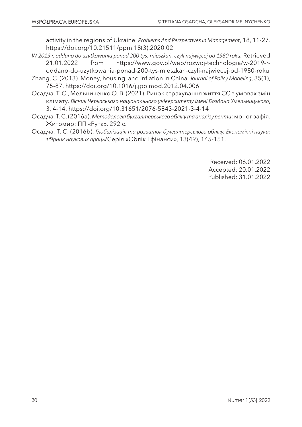activity in the regions of Ukraine. *Problems And Perspectives In Management*, 18, 11-27. https://doi.org/10.21511/ppm.18(3).2020.02

- *W 2019 r. oddano do użytkowania ponad 200 tys. mieszkań, czyli najwięcej od 1980 roku.* Retrieved 21.01.2022 from https://www.gov.pl/web/rozwoj-technologia/w-2019-r-
- oddano-do-uzytkowania-ponad-200-tys-mieszkan-czyli-najwiecej-od-1980-roku Zhang, C. (2013). Money, housing, and inflation in China. *Journal of Policy Modeling*, 35(1), 75-87. https://doi.org/10.1016/j.jpolmod.2012.04.006
- Осадча, Т. С., Мельниченко О. В. (2021). Ринок страхування життя ЄС в умовах змін клімату. *Вісник Черкаського національного університету імені Богдана Хмельницького*, 3, 4-14. https://doi.org/10.31651/2076-5843-2021-3-4-14
- Осадча, Т. С. (2016a). *Методологія бухгалтерського обліку та аналізу ренти*: монографія. Житомир: ПП «Рута», 292 с.
- Осадча, Т. С. (2016b). *Глобалізація та розвиток бухгалтерського обліку. Економічні науки: збірник наукових праць*/Серія «Облік і фінанси», 13(49), 145-151.

Received: 06.01.2022 Accepted: 20.01.2022 Published: 31.01.2022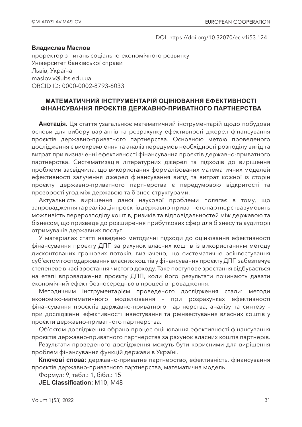#### DOI: https://doi.org/10.32070/ec.v1i53.124

#### **Владислав Маслов**

проректор з питань соціально-економічного розвитку Університет банківської справи Львів, Україна maslov.v@ubs.edu.ua ORCID ID: 0000-0002-8793-6033

#### **МАТЕМАТИЧНИЙ ІНСТРУМЕНТАРІЙ ОЦІНЮВАННЯ ЕФЕКТИВНОСТІ ФІНАНСУВАННЯ ПРОЄКТІВ ДЕРЖАВНО-ПРИВАТНОГО ПАРТНЕРСТВА**

**Анотація.** Ця стаття узагальнює математичний інструментарій щодо побудови основи для вибору варіантів та розрахунку ефективності джерел фінансування проєктів державно-приватного партнерства. Основною метою проведеного дослідження є виокремлення та аналіз передумов необхідності розподілу вигід та витрат при визначенні ефективності фінансування проєктів державно-приватного партнерства. Систематизація літературних джерел та підходів до вирішення проблеми засвідчила, що використання формалізованих математичних моделей ефективності залучення джерел фінансування вигід та витрат кожної із сторін проєкту державно-приватного партнерства є передумовою відкритості та прозорості угод між державою та бізнес-структурами.

Актуальність вирішення даної наукової проблеми полягає в тому, що запровадження та реалізація проєктів державно-приватного партнерства зумовить можливість перерозподілу коштів, ризиків та відповідальностей між державою та бізнесом, що призведе до розширення прибуткових сфер для бізнесу та аудиторії отримувачів державних послуг.

У матеріалах статті наведено методичні підходи до оцінювання ефективності фінансування проєкту ДПП за рахунок власних коштів із використанням методу дисконтованих грошових потоків, визначено, що систематичне реінвестування суб'єктом господарювання власних коштів у фінансування проєкту ДПП забезпечує степеневе в часі зростання чистого доходу. Таке поступове зростання відбувається на етапі впровадження проєкту ДПП, коли його результати починають давати економічний ефект безпосередньо в процесі впровадження.

Методичним інструментарієм проведеного дослідження стали: методи економіко-математичного моделювання – при розрахунках ефективності фінансування проєктів державно-приватного партнерства, аналізу та синтезу – при дослідженні ефективності інвестування та реінвестування власних коштів у проєкти державно-приватного партнерства.

Об'єктом дослідження обрано процес оцінювання ефективності фінансування проєктів державно-приватного партнерства за рахунок власних коштів партнерів.

Результати проведеного дослідження можуть бути корисними для вирішення проблем фінансування функцій держави в Україні.

**Ключові слова:** державно-приватне партнерство, ефективність, фінансування проєктів державно-приватного партнерства, математична модель

Формул: 9, табл.: 1, бібл.: 15

**JEL Classification:** М10; М48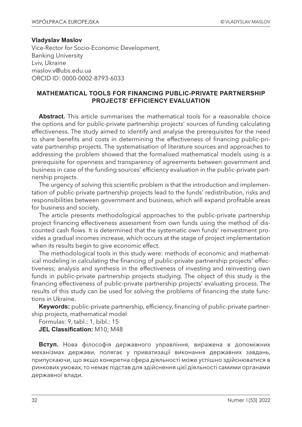#### **Vladyslav Maslov**

Vice-Rector for Socio-Economic Development, Banking University Lviv, Ukraine maslov.v@ubs.edu.ua ORCID ID: 0000-0002-8793-6033

#### **MATHEMATICAL TOOLS FOR FINANCING PUBLIC-PRIVATE PARTNERSHIP PROJECTS' EFFICIENCY EVALUATION**

**Abstract.** This article summarises the mathematical tools for a reasonable choice the options and for public-private partnership projects' sources of funding calculating effectiveness. The study aimed to identify and analyse the prerequisites for the need to share benefits and costs in determining the effectiveness of financing public-private partnership projects. The systematisation of literature sources and approaches to addressing the problem showed that the formalised mathematical models using is a prerequisite for openness and transparency of agreements between government and business in case of the funding sources' efficiency evaluation in the public-private partnership projects.

The urgency of solving this scientific problem is that the introduction and implementation of public-private partnership projects lead to the funds' redistribution, risks and responsibilities between government and business, which will expand profitable areas for business and society.

The article presents methodological approaches to the public-private partnership project financing effectiveness assessment from own funds using the method of discounted cash flows. It is determined that the systematic own funds' reinvestment provides a gradual incomes increase, which occurs at the stage of project implementation when its results begin to give economic effect.

The methodological tools in this study were: methods of economic and mathematical modeling in calculating the financing of public-private partnership projects' effectiveness; analysis and synthesis in the effectiveness of investing and reinvesting own funds in public-private partnership projects studying. The object of this study is the financing effectiveness of public-private partnership projects' evaluating process. The results of this study can be used for solving the problems of financing the state functions in Ukraine.

**Keywords:** public-private partnership, efficiency, financing of public-private partnership projects, mathematical model

Formulas: 9, tabl.: 1, bibl.: 15 **JEL Classification:** М10; М48

**Вступ.** Нова філософія державного управління, виражена в допоміжних механізмах держави, полягає у приватизації виконання державних завдань, припускаючи, що якщо конкретна сфера діяльності може успішно здійснюватися в ринкових умовах, то немає підстав для здійснення цієї діяльності самими органами державної влади.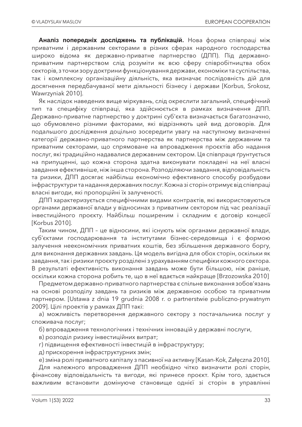**Аналіз попередніх досліджень та публікацій.** Нова форма співпраці між приватним і державним секторами в різних сферах народного господарства широко відома як державно-приватне партнерство (ДПП). Під державноприватним партнерством слід розуміти як всю сферу співробітництва обох секторів, з точки зору доктрини функціонування держави, економіки та суспільства, так і комплексну організаційну діяльність, яка визначає послідовність дій для досягнення передбачуваної мети діяльності бізнесу і держави [Korbus, Srokosz, Wawrzyniak 2010].

Як наслідок наведених вище міркувань, слід окреслити загальний, специфічний тип та специфіку співпраці, яка здійснюється в рамках визначення ДПП. Державно-приватне партнерство у доктрині суб'єкта визначається багатозначно, що обумовлено різними факторами, які відрізняють цей вид договорів. Для подальшого дослідження доцільно зосередити увагу на наступному визначенні категорії державно-приватного партнерства як партнерства між державним та приватним секторами, що спрямоване на впровадження проєктів або надання послуг, які традиційно надавалися державним сектором. Ця співпраця ґрунтується на припущенні, що кожна сторона здатна виконувати покладені на неї власні завдання ефективніше, ніж інша сторона. Розподіляючи завдання, відповідальність та ризики, ДПП досягає найбільш економічно ефективного способу розбудови інфраструктури та надання державних послуг. Кожна зі сторін отримує від співпраці власні вигоди, які пропорційні їх залученості.

ДПП характеризується специфічними видами контрактів, які використовуються органами державної влади у відносинах з приватним сектором під час реалізації інвестиційного проєкту. Найбільш поширеним і складним є договір концесії [Korbus 2010].

Таким чином, ДПП – це відносини, які існують між органами державної влади, суб'єктами господарювання та інститутами бізнес-середовища і є формою залучення неекономічних приватних коштів, без збільшення державного боргу, для виконання державних завдань. Ця модель вигідна для обох сторін, оскільки як завдання, так і ризики проєкту розділені з урахуванням специфіки кожного сектора. В результаті ефективність виконання завдань може бути більшою, ніж раніше, оскільки кожна сторона робить те, що в неї вдається найкраще [Brzozowska 2010]

Предметом державно-приватного партнерства є спільне виконання зобов'язань на основі розподілу завдань та ризиків між державною особою та приватним партнером. [Ustawa z dnia 19 grudnia 2008 r. o partnerstwie publiczno-prywatnym 2009]. Цілі проектів у рамках ДПП такі:

а) можливість перетворення державного сектору з постачальника послуг у споживача послуг;

б) впровадження технологічних і технічних інновацій у державні послуги,

в) розподіл ризику інвестиційних витрат;

г) підвищення ефективності інвестицій в інфраструктуру;

д) прискорення інфраструктурних змін;

е) зміна ролі приватного капіталу з пасивної на активну [Kasan-Kok, Załęczna 2010].

Для належного впровадження ДПП необхідно чітко визначити ролі сторін, фінансову відповідальність та вигоди, які принесе проєкт. Крім того, здається важливим встановити домінуюче становище однієї зі сторін в управлінні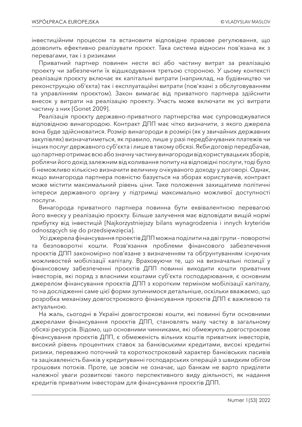інвестиційним процесом та встановити відповідне правове регулювання, що дозволить ефективно реалізувати проєкт. Така система відносин пов'язана як з перевагами, так і з ризиками

Приватний партнер повинен нести всі або частину витрат за реалізацію проекту чи забезпечити їх відшкодування третьою стороною. У цьому контексті реалізація проєкту включає як капітальні витрати (наприклад, на будівництво чи реконструкцію об'єкта) так і експлуатаційні витрати (пов'язані з обслуговуванням та управлінням проєктом). Закон вимагає від приватного партнера здійснити внесок у витрати на реалізацію проекту. Участь може включати як усі витрати частину з них [Gonet 2009].

Реалізація проєкту державно-приватного партнерства має супроводжуватися відповідною винагородою. Контракт ДПП має чітко визначити, з якого джерела вона буде здійснюватися. Розмір винагороди в розмірі (як у звичайних державних закупівлях) визначатиметься, як правило, лише у разі передбачуваних платежів чи інших послуг державного суб'єкта і лише в такому обсязі. Якби договір передбачав, що партнер отримає всю або значну частину винагороди від користувацьких зборів, роблячи його дохід залежним від коливання попиту на відповідні послуги, тоді було б неможливо кількісно визначити величину очікуваного доходу у договорі. Однак, якщо винагорода партнера повністю базується на зборах користувачів, контракт може містити максимальний рівень ціни. Таке положення захищатиме політичні інтереси державного органу у підтримці максимально можливої доступності послуги.

Винагорода приватного партнера повинна бути еквівалентною перевагою його внеску у реалізацію проєкту. Більше залучення має відповідати вищій нормі прибутку від інвестицій [Najkorzystniejszy bilans wynagrodzenia i innych kryteriów odnoszących się do przedsięwzięcia].

 Усі джерела фінансування проектів ДПП можна поділити на дві групи – поворотні та безповоротні кошти. Розв'язання проблеми фінансового забезпечення проєктів ДПП закономірно пов'язане з визначенням та обґрунтуванням існуючих можливостей мобілізації капіталу. Враховуючи те, що на визначальні позиції у фінансовому забезпеченні проєктів ДПП повинні виходити кошти приватних інвесторів, які поряд з власними коштами суб'єкта господарювання, є основним джерелом фінансування проєктів ДПП з коротким терміном мобілізації капіталу, то на дослідженні саме цієї форми зупинимося детальніше, оскільки вважаємо, що розробка механізму довгострокового фінансування проєктів ДПП є важливою та актуальною.

На жаль, сьогодні в Україні довгострокові кошти, які повинні бути основними джерелами фінансування проєктів ДПП, становлять малу частку в загальному обсязі ресурсів. Відомо, що основними чинниками, які обмежують довгострокове фінансування проєктів ДПП, є обмеженість вільних коштів приватних інвесторів, високий рівень процентних ставок за банківськими кредитами, високі кредитні ризики, переважно поточний та короткостроковий характер банківських пасивів та зацікавленість банків у кредитуванні господарських операцій з швидким обігом грошових потоків. Проте, це зовсім не означає, що банкам не варто приділяти належної уваги розвиткові такого перспективного виду діяльності, як надання кредитів приватним інвесторам для фінансування проєктів ДПП.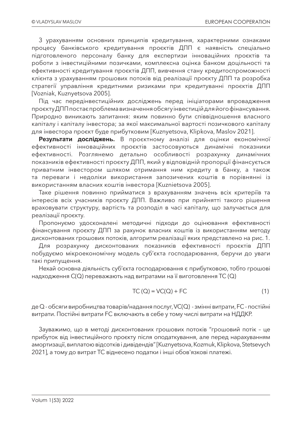З урахуванням основних принципів кредитування, характерними ознаками процесу банківського кредитування проєктів ДПП є наявність спеціально підготовленого персоналу банку для експертизи інноваційних проєктів та роботи з інвестиційними позичками, комплексна оцінка банком доцільності та ефективності кредитування проєктів ДПП, вивчення стану кредитоспроможності клієнта з урахуванням грошових потоків від реалізації проєкту ДПП та розробка стратегії управління кредитними ризиками при кредитуванні проєктів ДПП [Vozniak, Kuznyetsova 2005].

Під час передінвестиційних досліджень перед ініціаторами впровадження проєкту ДПП постає проблема визначення обсягу інвестицій для його фінансування. Природно виникають запитання: яким повинно бути співвідношення власного капіталу і капіталу інвестора; за якої максимальної вартості позичкового капіталу для інвестора проєкт буде прибутковим [Kuznyetsova, Klipkova, Maslov 2021].

**Результати досліджень.** В проєктному аналізі для оцінки економічної ефективності інноваційних проєктів застосовуються динамічні показники ефективності. Розглянемо детально особливості розрахунку динамічних показників ефективності проєкту ДПП, який у відповідній пропорції фінансується приватним інвестором шляхом отримання ним кредиту в банку, а також та переваги і недоліки використання запозичених коштів в порівнянні із використанням власних коштів інвестора [Kuznietsova 2005].

Таке рішення повинно прийматися з врахуванням значень всіх критеріїв та інтересів всіх учасників проєкту ДПП. Важливо при прийнятті такого рішення враховувати структуру, вартість та розподіл в часі капіталу, що залучається для реалізації проєкту.

Пропонуємо удосконалені методичні підходи до оцінювання ефективності фінансування проєкту ДПП за рахунок власних коштів із використанням методу дисконтованих грошових потоків, алгоритм реалізації яких представлено на рис. 1.

Для розрахунку дисконтованих показників ефективності проєктів ДПП побудуємо мікроекономічну модель суб'єкта господарювання, беручи до уваги такі припущення.

Нехай основна діяльність суб'єкта господарювання є прибутковою, тобто грошові надходження C(Q) переважають над витратами на її виготовлення TC (Q)

$$
TC(Q) = VC(Q) + FC
$$
 (1)

де Q - обсяги виробництва товарів/надання послуг, VC(Q) - змінні витрати, FC - постійні витрати. Постійні витрати FC включають в себе у тому числі витрати на НДДКР.

Зауважимо, що в методі дисконтованих грошових потоків "грошовий потік – це прибуток від інвестиційного проєкту після оподаткування, але перед нарахуванням амортизації, виплатою відсотків і дивідендів" [Kuznyetsova, Kozmuk, Klipkova, Stetsevych 2021], а тому до витрат TC віднесено податки і інші обов'язкові платежі.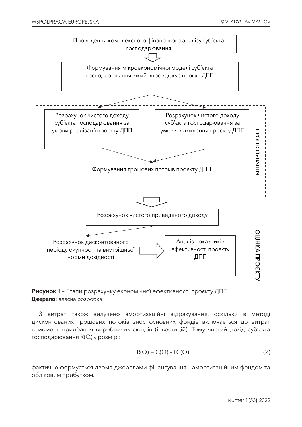

**Рисунок 1** – Етапи розрахунку економічної ефективності проєкту ДПП **Джерело:** власна розробка

З витрат також вилучено амортизаційні відрахування, оскільки в методі дисконтованих грошових потоків знос основних фондів включається до витрат в момент придбання виробничих фондів (інвестицій). Тому чистий дохід суб'єкта господарювання R(Q) у розмірі:

$$
R(Q) = C(Q) - TC(Q)
$$
 (2)

фактично формується двома джерелами фінансування – амортизаційним фондом та обліковим прибутком.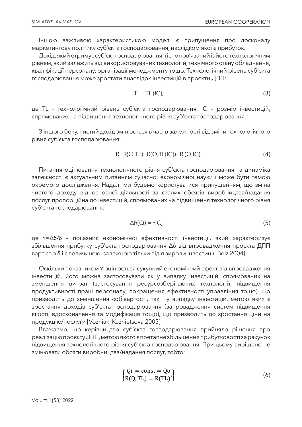Іншою важливою характеристикою моделі є припущення про досконалу маркетингову політику суб'єкта господарювання, наслідком якої є прибуток.

Дохід, який отримує суб'єкт господарювання, тісно пов'язаний із його технологічним рівнем, який залежить від використовуваних технологій, технічного стану обладнання, кваліфікації персоналу, організації менеджменту тощо. Технологічний рівень суб'єкта господарювання може зростати внаслідок інвестицій в проєкти ДПП:

$$
TL = TL (IC), \tag{3}
$$

де TL - технологічний рівень суб'єкта господарювання, IC – розмір інвестицій, спрямованих на підвищення технологічного рівня суб'єкта господарювання.

З іншого боку, чистий дохід змінюється в часі в залежності від зміни технологічного рівня суб'єкта господарювання:

$$
R=R(Q,TL)=R(Q,TL(IC))=R(Q,IC),\tag{4}
$$

Питання оцінювання технологічного рівня суб'єкта господарювання та динаміка залежності є актуальним питанням сучасної економічної науки і може бути темою окремого дослідження. Надалі ми будемо користуватися припущенням, що зміна чистого доходу від основної діяльності за сталих обсягів виробництва/надання послуг пропорційна до інвестицій, спрямованих на підвищення технологічного рівня суб'єкта господарювання:

$$
\Delta R(Q) = \gamma |C,\tag{5}
$$

де Y=Δδ/δ – показник економічної ефективності інвестиції, який характеризує збільшення прибутку суб'єкта господарювання Δδ від впровадження проєкта ДПП вартістю δ і є величиною, залежною тільки від природи інвестиції [Belz 2004].

Оскільки показником Y оцінюється сукупний економічний ефект від впровадження інвестицій, його можна застосовувати як у випадку інвестицій, спрямованих на зменшення витрат (застосування ресурсозберігаючих технологій, підвищення продуктивності праці персоналу, покращення ефективності управління тощо), що призводить до зменшення собівартості, так і у випадку інвестицій, метою яких є зростання доходів суб'єкта господарювання (запровадження систем підвищення якості, вдосконалення та модифікація тощо), що призводить до зростання ціни на продукцію/послуги [Vozniak, Kuznietsova 2005].

Вважаємо, що керівництво суб'єкта господарювання прийняло рішення про реалізацію проєкту ДПП, метою якого є поетапне збільшення прибутковості за рахунок підвищення технологічного рівня суб'єкта господарювання. При цьому вирішено не змінювати обсяги виробництва/надання послуг, тобто:

$$
\begin{cases} Qt = \text{const} = \text{Qo} \\ \text{R(Q, TL)} = \text{R(TL)'} \end{cases}
$$
 (6)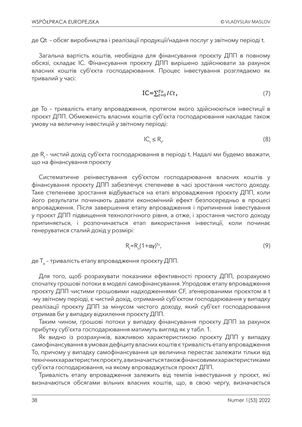де Qt – обсяг виробництва і реалізації продукції/наданя послуг у звітному періоді t.

Загальна вартість коштів, необхідна для фінансування проєкту ДПП в повному обсязі, складає IC. Фінансування проєкту ДПП вирішено здійснювати за рахунок власних коштів суб'єкта господарювання. Процес інвестування розглядаємо як тривалий у часі:

$$
\text{IC} = \sum_{t=0}^{T_o} I C t,\tag{7}
$$

де To – тривалість етапу впровадження, протягом якого здійснюються інвестиції в проєкт ДПП. Обмеженість власних коштів суб'єкта господарювання накладає також умову на величину інвестицій у звітному періоді:

$$
IC_t \le R_{t'} \tag{8}
$$

де R<sub>t</sub> - чистий дохід суб'єкта господарювання в періоді t. Надалі ми будемо вважати, що на фінансування проєкту

Систематичне реінвестування суб'єктом господарювання власних коштів у фінансування проєкту ДПП забезпечує степеневе в часі зростання чистого доходу. Таке степеневе зростання відбувається на етапі впровадження проєкту ДПП, коли його результати починають давати економічний ефект безпосередньо в процесі впровадження. Після завершення етапу впровадження і припинення інвестування у проєкт ДПП підвищення технологічного рівня, а отже, і зростання чистого доходу припиняється, і розпочинається етап використання інвестиції, коли починає генеруватися сталий дохід у розмірі:

$$
R_t = R_0 (1 + \alpha \gamma)^{T_0}, \qquad (9)
$$

де T<sub>o</sub> - тривалість етапу впровадження проєкту ДПП.

Для того, щоб розрахувати показники ефективності проєкту ДПП, розрахуємо спочатку грошові потоки в моделі самофінансування. Упродовж етапу впровадження проєкту ДПП чистими грошовими надходженнями CF, зґенерованими проєктом в t -му звітному періоді, є чистий дохід, отриманий суб'єктом господарювання у випадку реалізації проєкту ДПП за мінусом чистого доходу, який суб'єкт господарювання отримав би у випадку відхилення проєкту ДПП.

Таким чином, грошові потоки у випадку фінансування проєкту ДПП за рахунок прибутку суб'єкта господарювання матимуть вигляд як у табл. 1.

Як видно із розрахунків, важливою характеристикою проєкту ДПП у випадку самофінансування в умовах дефіциту власних коштів є тривалість етапу впровадження To, причому у випадку самофінансування ця величина перестає залежати тільки від технічних характеристик проєкту, а визначається також фінансовими характеристиками суб'єкта господарювання, на якому впроваджується проєкт ДПП.

Тривалість етапу впровадження залежить від темпів інвестування у проєкт, які визначаються обсягами вільних власних коштів, що, в свою чергу, визначається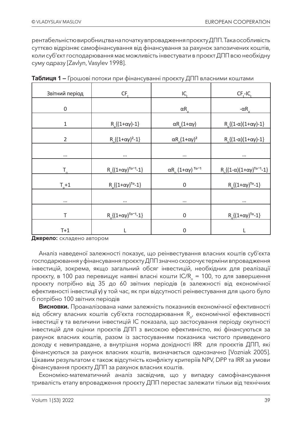рентабельністю виробництва на початку впровадження проєкту ДПП. Така особливість суттєво відрізняє самофінансування від фінансування за рахунок запозичених коштів, коли суб'єкт господарювання має можливість інвестувати в проєкт ДПП всю необхідну суму одразу [Zavlyn, Vasylev 1998].

| Звітний період                              | $CF+$                                  |                                                               | $CFt-ICt$                                        |
|---------------------------------------------|----------------------------------------|---------------------------------------------------------------|--------------------------------------------------|
| $\mathbf 0$                                 |                                        | $\alpha R$ <sub>o</sub>                                       | $-\alpha R$ <sub>o</sub>                         |
| $\mathbf 1$                                 | $R_0$ {(1+αγ)-1}                       | $\alpha$ R <sub>o</sub> (1+αγ)                                | $R_0$ {(1- $\alpha$ )(1+ $\alpha$ $\gamma$ )-1}  |
| $\overline{2}$                              | $R_0$ { $(1+\alpha \gamma)^2-1$ }      | $\alpha R$ <sub>o</sub> $(1+\alpha \gamma)^2$                 | $R_0$ {(1-α)(1+αγ)-1}                            |
| $\cdots$                                    | $\cdots$                               | $\cdots$                                                      | $\cdots$                                         |
| $T_{\alpha}$                                | $R_0$ { $(1+\alpha\gamma)^{T_0-1}-1$ } | $\alpha R$ <sub>o</sub> (1+ $\alpha \gamma$ ) <sup>To-1</sup> | $R_0$ { $(1-\alpha)(1+\alpha\gamma)^{T_0-1}-1$ } |
| $T_{0}+1$                                   | $R_0$ { $(1+\alpha \gamma)^{T_0}$ -1}  | $\mathbf 0$                                                   | $R_0$ { $(1+\alpha \gamma)^{T_0}$ -1}            |
| $\cdots$                                    | $\cdots$                               | $\cdots$                                                      | $\cdots$                                         |
| T<br>$R_0$ { $(1+\alpha\gamma)^{T_0-1}-1$ } |                                        | $\boldsymbol{0}$<br>$R_0$ { $(1+\alpha \gamma)^{T_0}$ -1}     |                                                  |
| $T+1$                                       |                                        | $\overline{0}$                                                |                                                  |

|  |  |  | Таблиця 1 – Грошові потоки при фінансуванні проєкту ДПП власними коштами |
|--|--|--|--------------------------------------------------------------------------|
|  |  |  |                                                                          |

**Джерело:** складено автором

Аналіз наведеної залежності показує, що реінвестування власних коштів суб'єкта господарювання у фінансування проєкту ДПП значно скорочує терміни впровадження інвестицій, зокрема, якщо загальний обсяг інвестицій, необхідних для реалізації проєкту, в 100 раз перевищує наявні власні кошти IC/R<sub>s</sub> = 100, то для завершення проєкту потрібно від 35 до 60 звітних періодів (в залежності від економічної ефективності інвестиції γ) у той час, як при відсутності реінвестування для цього було б потрібно 100 звітних періодів

**Висновки.** Проаналізована нами залежність показників економічної ефективності від обсягу власних коштів суб'єкта господарювання  $R_{\alpha}$ , економічної ефективності інвестиції γ та величини інвестицій IC показала, що застосування періоду окупності інвестицій для оцінки проєктів ДПП з високою ефективністю, які фінансуються за рахунок власних коштів, разом із застосуванням показника чистого приведеного доходу є невиправдане, а внутрішня норма дохідності IRR для проєктів ДПП, які фінансуються за рахунок власних коштів, визначається однозначно [Vozniak 2005]. Цікавим результатом є також відсутність конфлікту критеріїв NPV, DPP та IRR за умови фінансування проєкту ДПП за рахунок власних коштів.

Економіко-математичний аналіз засвідчив, що у випадку самофінансування тривалість етапу впровадження проєкту ДПП перестає залежати тільки від технічних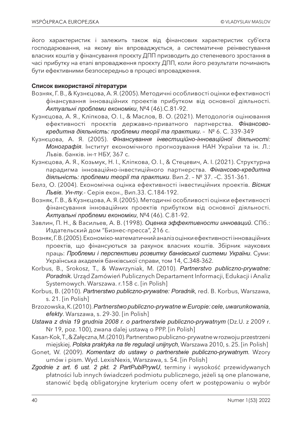його характеристик і залежить також від фінансових характеристик суб'єкта господарювання, на якому він впроваджується, а систематичне реінвестування власних коштів у фінансування проєкту ДПП призводить до степеневого зростання в часі прибутку на етапі впровадження проєкту ДПП, коли його результати починають бути ефективними безпосередньо в процесі впровадження.

#### **Список використаної літератури**

- Возняк, Г. В., & Кузнєцова, А. Я. (2005). Методичні особливості оцінки ефективності фінансування інноваційних проектів прибутком від основної діяльності. *Актуальні проблеми економіки*, №4 (46).С.81-92.
- Кузнєцова, А. Я., Кліпкова, О. І., & Маслов, В. О. (2021). Методологія оцінювання ефективності проєктів державно-приватного партнерства. *Фінансовокредитна діяльність: проблеми теорії та практики*. – № 6. С. 339-349
- Кузнєцова, А. Я. (2005). *Фінансування інвестиційно-інноваційної діяльності: Монографія*. Інститут економічного прогнозування НАН України та ін. Л.: Львів. банків. ін-т НБУ, 367 с.
- Кузнєцова, А. Я., Козьмук, Н. І., Кліпкова, О. І., & Стецевич, А. І. (2021). Структурна парадигма інноваційно-інвестиційного партнерства. *Фінансово-кредитна діяльність: проблеми теорії та практики*. Вип.2. – № 37. –С. 351-361.
- Белз, О. (2004). Економічна оцінка ефективності інвестиційних проектів. *Вісник Львів. Ун-ту.*- Серія екон., Вип.33. С.184-192.
- Возняк, Г. В., & Кузнєцова, А. Я. (2005). Методичні особливості оцінки ефективності фінансування інноваційних проектів прибутком від основної діяльності. *Актуальні проблеми економіки*, №4 (46). С.81-92.
- Завлин, П. Н., & Васильев, А. В. (1998). *Оценка эффективности инноваций*. СПб.: Издательский дом "Бизнес-пресса", 216 с.
- Возняк, Г. В. (2005). Економіко-математичний аналіз оцінки ефективності інноваційних проектів, що фінансуються за рахунок власних коштів. Збірник наукових праць: *Проблеми і перспективи розвитку банківської системи України*. Суми: Українська академія банківської справи, том 14, С.348-362.
- Korbus, B., Srokosz, T., & Wawrzyniak, M. (2010). *Partnerstvo publiczno-prywatne: Poradnik.* Urząd Zamówień Publicznych Departament Informacji, Edukacji i Analiz Systemowych. Warszawa. r.158 с. [in Polish]
- Korbus, B. (2010). *Partnerstwo publiczno-prywatne: Poradnik*, red. B. Korbus, Warszawa, s. 21. [in Polish]
- Brzozowska, K. (2010). *Partnerstwo publiczno-prywatne w Europie: cele, uwarunkowania, efekty*. Warszawa, s. 29-30. [in Polish]
- *Ustawa z dnia 19 grudnia 2008 r. o partnerstwie publiczno-prywatnym* (Dz.U. z 2009 r. Nr 19, poz. 100), zwana dalej ustawą o PPP. [in Polish]
- Kasan-Kok, T., & Załęczna, M. (2010). Partnerstwo publiczno-prywatne w rozwoju przestrzeni miejskiej. *Polska praktyka na tle regulacji unijnych*, Warszawa 2010, s. 25. [in Polish]
- Gonet, W. (2009). *Komentarz do ustawy o partnerstwie publiczno-prywatnym.* Wzory umów i pism. Wyd. LexisNexis, Warszawa, s. 54. [in Polish]
- *Zgodnie z art. 6 ust. 2 pkt. 2 PartPublPrywU*, terminy i wysokość przewidywanych płatności lub innych świadczeń podmiotu publicznego, jeżeli są one planowane, stanowić będą obligatoryjne kryterium oceny ofert w postępowaniu o wybór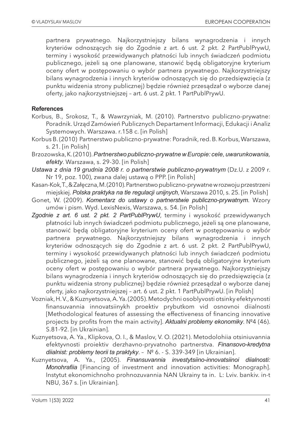partnera prywatnego. Najkorzystniejszy bilans wynagrodzenia i innych kryteriów odnoszących się do Zgodnie z art. 6 ust. 2 pkt. 2 PartPublPrywU, terminy i wysokość przewidywanych płatności lub innych świadczeń podmiotu publicznego, jeżeli są one planowane, stanowić będą obligatoryjne kryterium oceny ofert w postępowaniu o wybór partnera prywatnego. Najkorzystniejszy bilans wynagrodzenia i innych kryteriów odnoszących się do przedsięwzięcia (z punktu widzenia strony publicznej) będzie również przesądzał o wyborze danej oferty, jako najkorzystniejszej – art. 6 ust. 2 pkt. 1 PartPublPrywU.

#### **References**

- Korbus, B., Srokosz, T., & Wawrzyniak, M. (2010). Partnerstvo publiczno-prywatne: Poradnik. Urząd Zamówień Publicznych Departament Informacji, Edukacji i Analiz Systemowych. Warszawa. r.158 с. [in Polish]
- Korbus B. (2010) Partnerstwo publiczno-prywatne: Poradnik, red. B. Korbus, Warszawa, s. 21. [in Polish]
- Brzozowska, K. (2010). *Partnerstwo publiczno-prywatne w Europie: cele, uwarunkowania, efekty*. Warszawa, s. 29-30. [in Polish]
- *Ustawa z dnia 19 grudnia 2008 r. o partnerstwie publiczno-prywatnym* (Dz.U. z 2009 r. Nr 19, poz. 100), zwana dalej ustawą o PPP. [in Polish]
- Kasan-Kok, T., & Załęczna, M. (2010). Partnerstwo publiczno-prywatne w rozwoju przestrzeni miejskiej. *Polska praktyka na tle regulacji unijnych*, Warszawa 2010, s. 25. [in Polish]
- Gonet, W. (2009). *Komentarz do ustawy o partnerstwie publiczno-prywatnym.* Wzory umów i pism. Wyd. LexisNexis, Warszawa, s. 54. [in Polish]
- *Zgodnie z art. 6 ust. 2 pkt. 2 PartPublPrywU*, terminy i wysokość przewidywanych płatności lub innych świadczeń podmiotu publicznego, jeżeli są one planowane, stanowić będą obligatoryjne kryterium oceny ofert w postępowaniu o wybór partnera prywatnego. Najkorzystniejszy bilans wynagrodzenia i innych kryteriów odnoszących się do Zgodnie z art. 6 ust. 2 pkt. 2 PartPublPrywU, terminy i wysokość przewidywanych płatności lub innych świadczeń podmiotu publicznego, jeżeli są one planowane, stanowić będą obligatoryjne kryterium oceny ofert w postępowaniu o wybór partnera prywatnego. Najkorzystniejszy bilans wynagrodzenia i innych kryteriów odnoszących się do przedsięwzięcia (z punktu widzenia strony publicznej) będzie również przesądzał o wyborze danej oferty, jako najkorzystniejszej – art. 6 ust. 2 pkt. 1 PartPublPrywU. [in Polish]
- Vozniak, H. V., & Kuznyetsova, A. Ya. (2005). Metodychni osoblyvosti otsinky efektyvnosti finansuvannia innovatsiinykh proektiv prybutkom vid osnovnoi diialnosti [Methodological features of assessing the effectiveness of financing innovative projects by profits from the main activity]. *Aktualni problemy ekonomiky*. №4 (46). S.81-92. [in Ukrainian].
- Kuznyetsova, A. Ya., Klipkova, O. I., & Maslov, V. O. (2021). Metodolohiia otsiniuvannia efektyvnosti proiektiv derzhavno-pryvatnoho partnerstva. *Finansovo-kredytna diialnist: problemy teorii ta praktyky*. – № 6. - S. 339-349 [in Ukrainian].
- Kuznyetsova, A. Ya., (2005). *Finansuvannia investytsiino-innovatsiinoi diialnosti: Monohrafiia* [Financing of investment and innovation activities: Monograph]. Instytut ekonomichnoho prohnozuvannia NAN Ukrainy ta in. L: Lviv. bankiv. in-t NBU, 367 s. [in Ukrainian].